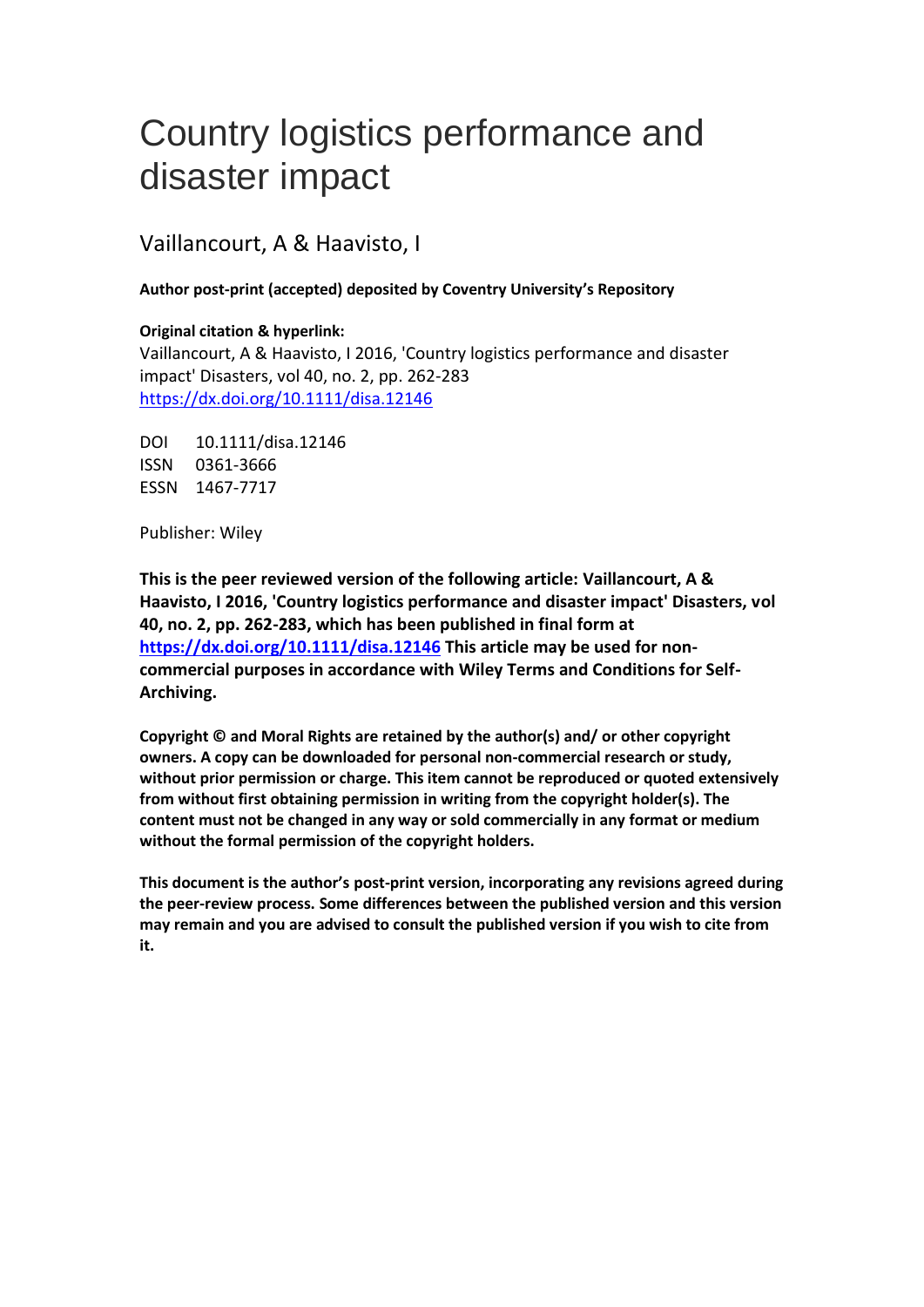# Country logistics performance and disaster impact

Vaillancourt, A & Haavisto, I

#### **Author post-print (accepted) deposited by Coventry University's Repository**

#### **Original citation & hyperlink:**

Vaillancourt, A & Haavisto, I 2016, 'Country logistics performance and disaster impact' Disasters, vol 40, no. 2, pp. 262-283 <https://dx.doi.org/10.1111/disa.12146>

DOI 10.1111/disa.12146 ISSN 0361-3666 ESSN 1467-7717

Publisher: Wiley

**This is the peer reviewed version of the following article: Vaillancourt, A & Haavisto, I 2016, 'Country logistics performance and disaster impact' Disasters, vol 40, no. 2, pp. 262-283, which has been published in final form at <https://dx.doi.org/10.1111/disa.12146> This article may be used for noncommercial purposes in accordance with Wiley Terms and Conditions for Self-Archiving.**

**Copyright © and Moral Rights are retained by the author(s) and/ or other copyright owners. A copy can be downloaded for personal non-commercial research or study, without prior permission or charge. This item cannot be reproduced or quoted extensively from without first obtaining permission in writing from the copyright holder(s). The content must not be changed in any way or sold commercially in any format or medium without the formal permission of the copyright holders.** 

**This document is the author's post-print version, incorporating any revisions agreed during the peer-review process. Some differences between the published version and this version may remain and you are advised to consult the published version if you wish to cite from it.**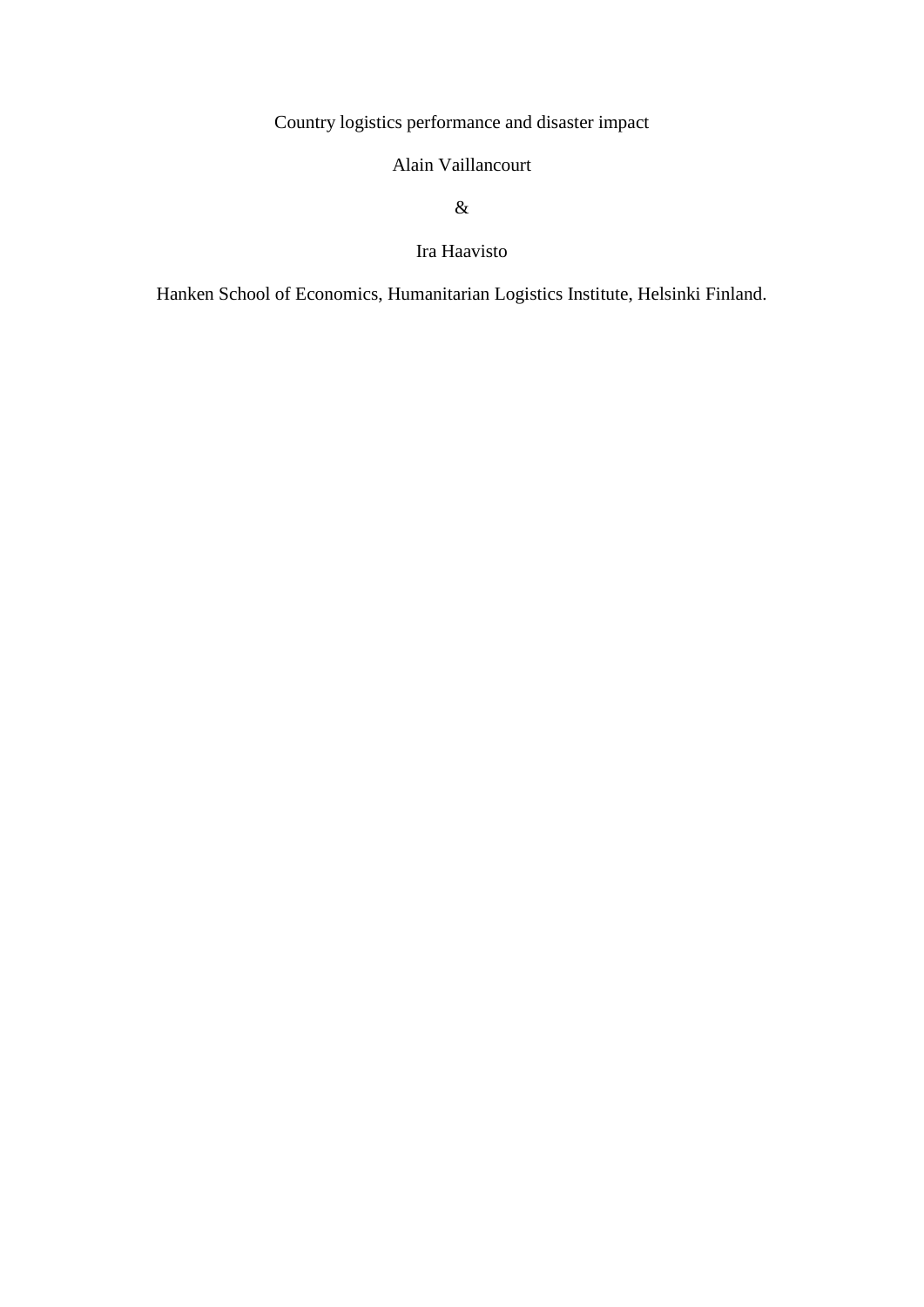Country logistics performance and disaster impact

## Alain Vaillancourt

### &

Ira Haavisto

Hanken School of Economics, Humanitarian Logistics Institute, Helsinki Finland.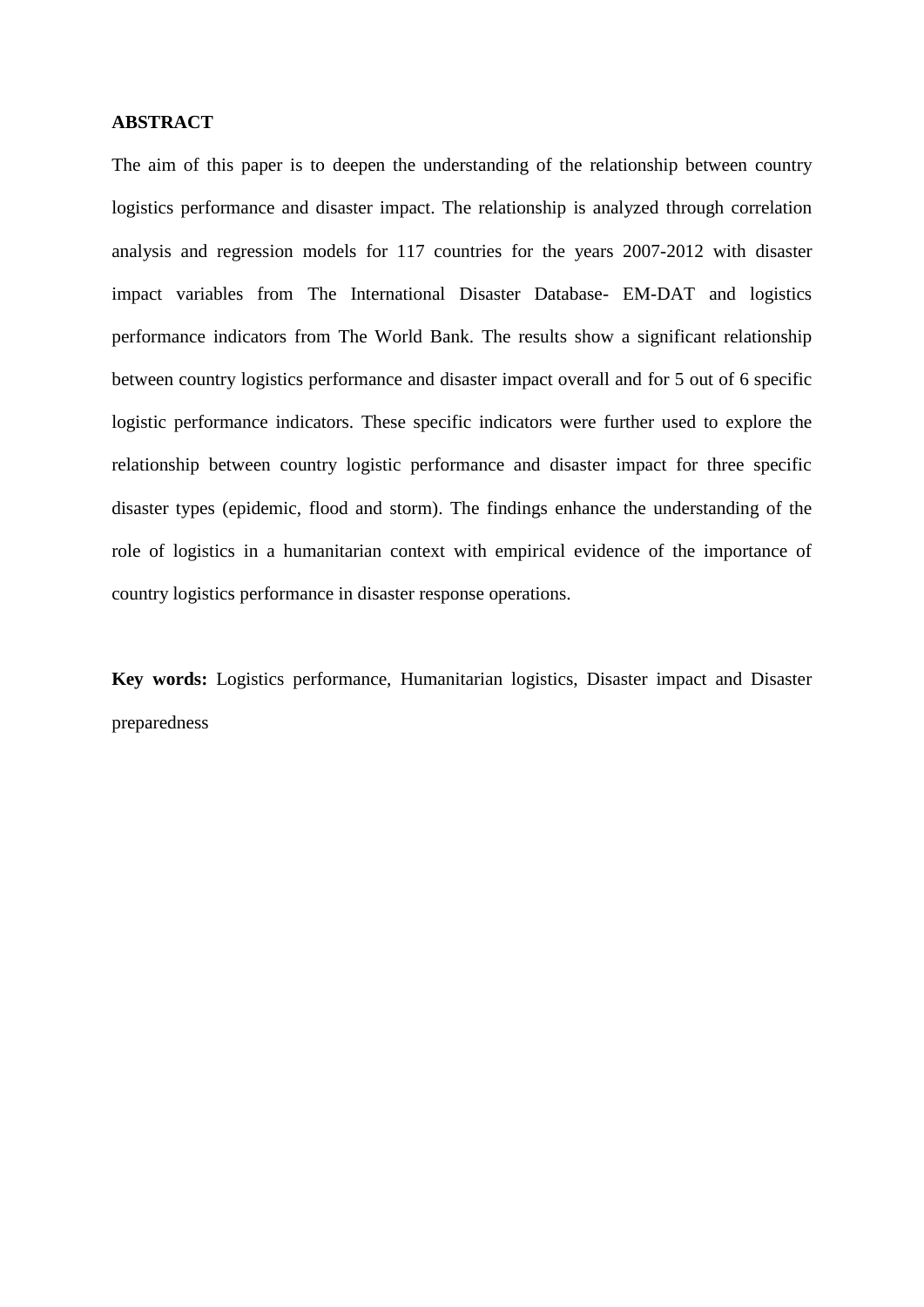#### **ABSTRACT**

The aim of this paper is to deepen the understanding of the relationship between country logistics performance and disaster impact. The relationship is analyzed through correlation analysis and regression models for 117 countries for the years 2007-2012 with disaster impact variables from The International Disaster Database- EM-DAT and logistics performance indicators from The World Bank. The results show a significant relationship between country logistics performance and disaster impact overall and for 5 out of 6 specific logistic performance indicators. These specific indicators were further used to explore the relationship between country logistic performance and disaster impact for three specific disaster types (epidemic, flood and storm). The findings enhance the understanding of the role of logistics in a humanitarian context with empirical evidence of the importance of country logistics performance in disaster response operations.

**Key words:** Logistics performance, Humanitarian logistics, Disaster impact and Disaster preparedness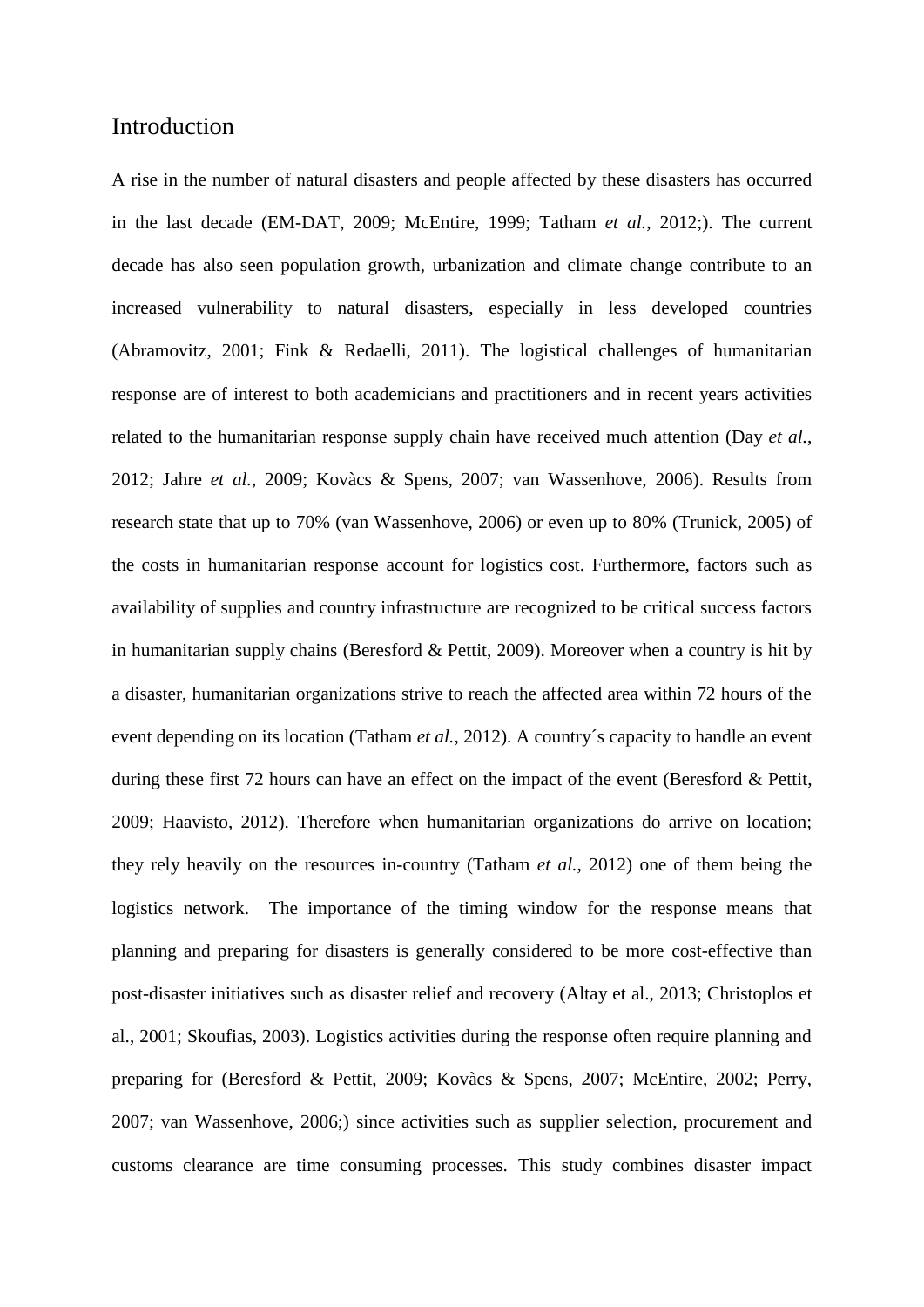## Introduction

A rise in the number of natural disasters and people affected by these disasters has occurred in the last decade (EM-DAT, 2009; McEntire, 1999; Tatham *et al.*, 2012;). The current decade has also seen population growth, urbanization and climate change contribute to an increased vulnerability to natural disasters, especially in less developed countries (Abramovitz, 2001; Fink & Redaelli, 2011). The logistical challenges of humanitarian response are of interest to both academicians and practitioners and in recent years activities related to the humanitarian response supply chain have received much attention (Day *et al.*, 2012; Jahre *et al.*, 2009; Kovàcs & Spens, 2007; van Wassenhove, 2006). Results from research state that up to 70% (van Wassenhove, 2006) or even up to 80% (Trunick, 2005) of the costs in humanitarian response account for logistics cost. Furthermore, factors such as availability of supplies and country infrastructure are recognized to be critical success factors in humanitarian supply chains (Beresford & Pettit, 2009). Moreover when a country is hit by a disaster, humanitarian organizations strive to reach the affected area within 72 hours of the event depending on its location (Tatham *et al.*, 2012). A country´s capacity to handle an event during these first 72 hours can have an effect on the impact of the event (Beresford & Pettit, 2009; Haavisto, 2012). Therefore when humanitarian organizations do arrive on location; they rely heavily on the resources in-country (Tatham *et al.*, 2012) one of them being the logistics network. The importance of the timing window for the response means that planning and preparing for disasters is generally considered to be more cost-effective than post-disaster initiatives such as disaster relief and recovery (Altay et al., 2013; Christoplos et al., 2001; Skoufias, 2003). Logistics activities during the response often require planning and preparing for (Beresford & Pettit, 2009; Kovàcs & Spens, 2007; McEntire, 2002; Perry, 2007; van Wassenhove, 2006;) since activities such as supplier selection, procurement and customs clearance are time consuming processes. This study combines disaster impact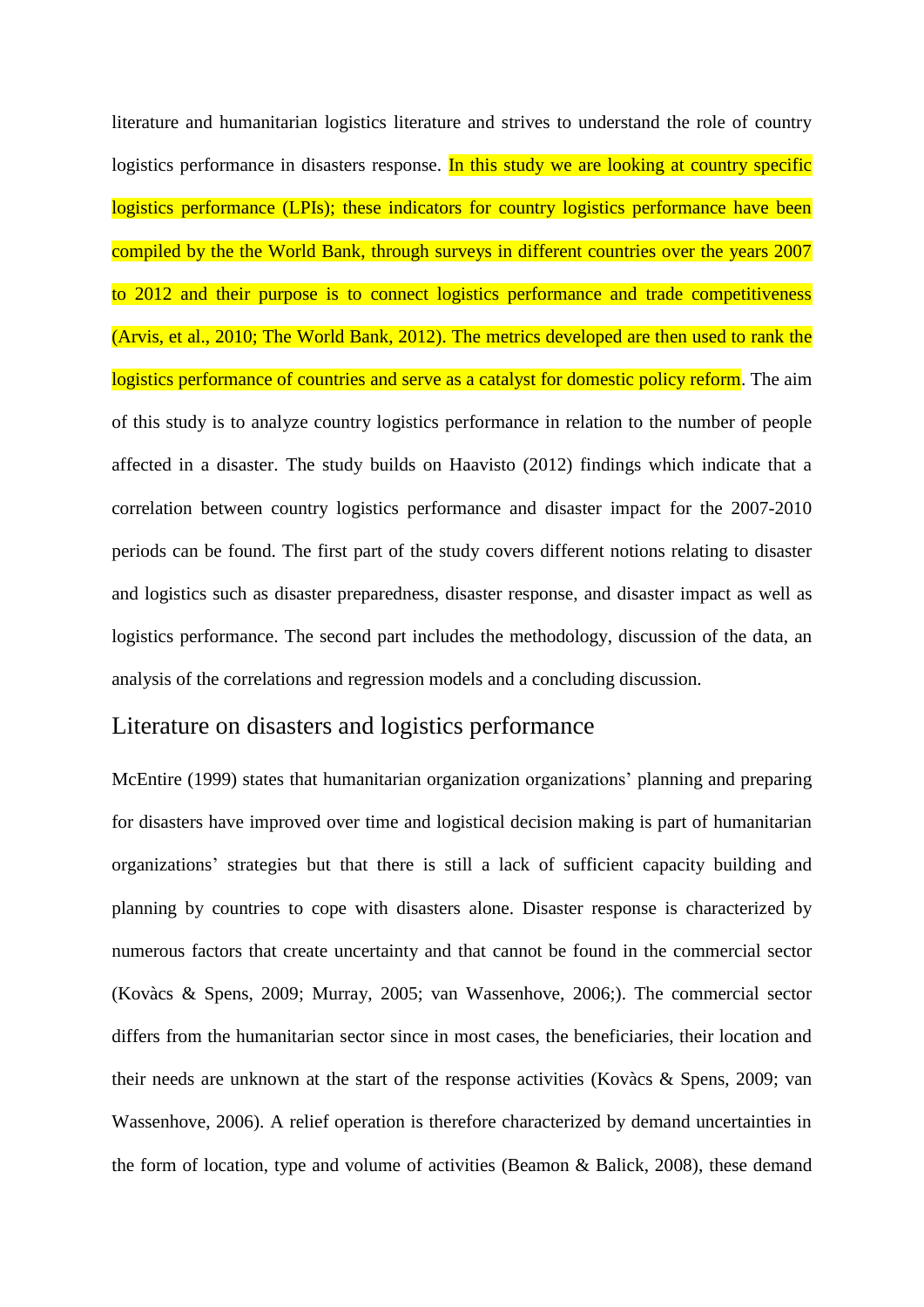literature and humanitarian logistics literature and strives to understand the role of country logistics performance in disasters response. In this study we are looking at country specific logistics performance (LPIs); these indicators for country logistics performance have been compiled by the the World Bank, through surveys in different countries over the years 2007 to 2012 and their purpose is to connect logistics performance and trade competitiveness (Arvis, et al., 2010; The World Bank, 2012). The metrics developed are then used to rank the logistics performance of countries and serve as a catalyst for domestic policy reform. The aim of this study is to analyze country logistics performance in relation to the number of people affected in a disaster. The study builds on Haavisto (2012) findings which indicate that a correlation between country logistics performance and disaster impact for the 2007-2010 periods can be found. The first part of the study covers different notions relating to disaster and logistics such as disaster preparedness, disaster response, and disaster impact as well as logistics performance. The second part includes the methodology, discussion of the data, an analysis of the correlations and regression models and a concluding discussion.

# Literature on disasters and logistics performance

McEntire (1999) states that humanitarian organization organizations' planning and preparing for disasters have improved over time and logistical decision making is part of humanitarian organizations' strategies but that there is still a lack of sufficient capacity building and planning by countries to cope with disasters alone. Disaster response is characterized by numerous factors that create uncertainty and that cannot be found in the commercial sector (Kovàcs & Spens, 2009; Murray, 2005; van Wassenhove, 2006;). The commercial sector differs from the humanitarian sector since in most cases, the beneficiaries, their location and their needs are unknown at the start of the response activities (Kovàcs & Spens, 2009; van Wassenhove, 2006). A relief operation is therefore characterized by demand uncertainties in the form of location, type and volume of activities (Beamon & Balick, 2008), these demand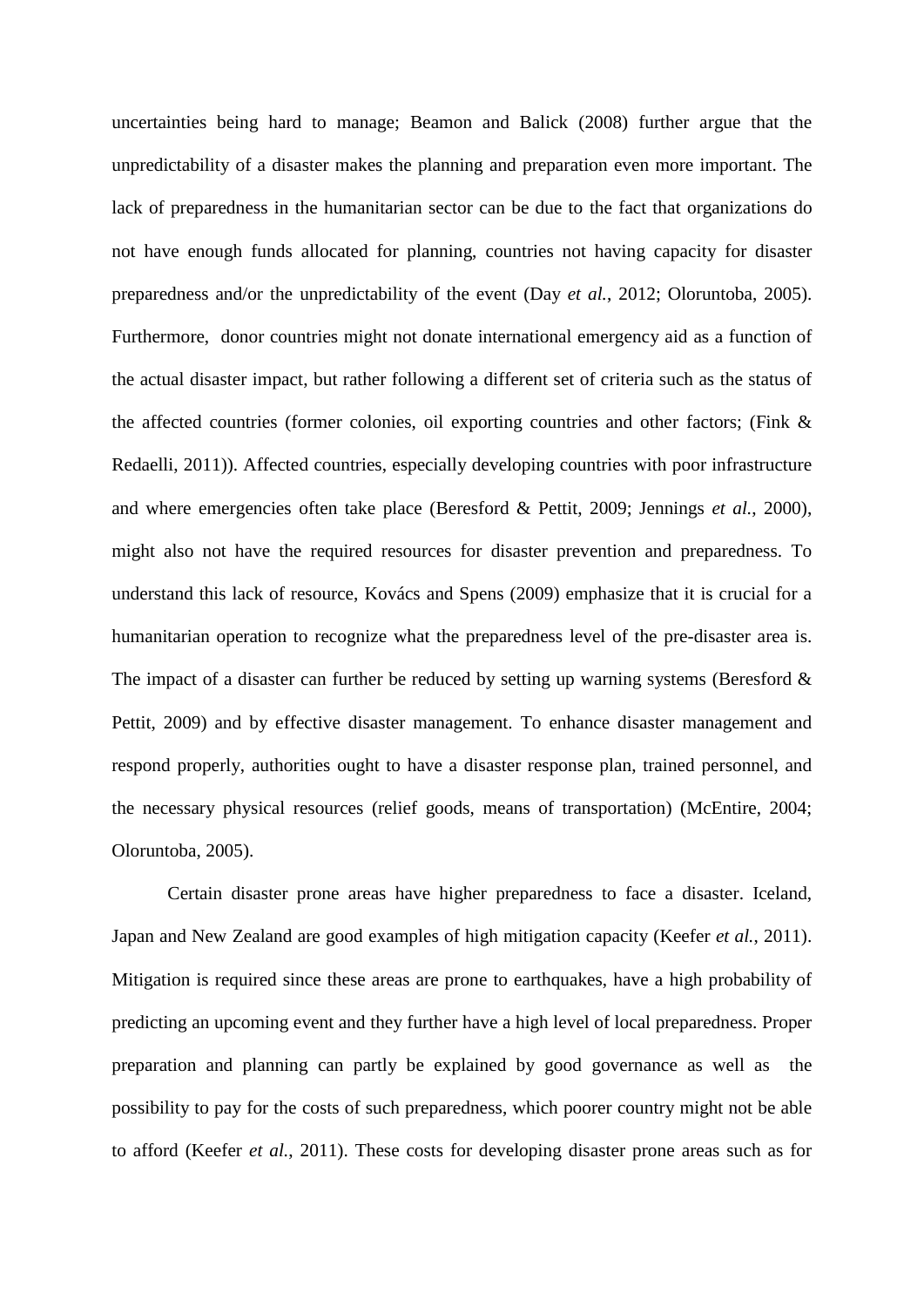uncertainties being hard to manage; Beamon and Balick (2008) further argue that the unpredictability of a disaster makes the planning and preparation even more important. The lack of preparedness in the humanitarian sector can be due to the fact that organizations do not have enough funds allocated for planning, countries not having capacity for disaster preparedness and/or the unpredictability of the event (Day *et al.*, 2012; Oloruntoba, 2005). Furthermore, donor countries might not donate international emergency aid as a function of the actual disaster impact, but rather following a different set of criteria such as the status of the affected countries (former colonies, oil exporting countries and other factors; (Fink & Redaelli, 2011)). Affected countries, especially developing countries with poor infrastructure and where emergencies often take place (Beresford & Pettit, 2009; Jennings *et al.*, 2000), might also not have the required resources for disaster prevention and preparedness. To understand this lack of resource, Kovács and Spens (2009) emphasize that it is crucial for a humanitarian operation to recognize what the preparedness level of the pre-disaster area is. The impact of a disaster can further be reduced by setting up warning systems (Beresford  $\&$ Pettit, 2009) and by effective disaster management. To enhance disaster management and respond properly, authorities ought to have a disaster response plan, trained personnel, and the necessary physical resources (relief goods, means of transportation) (McEntire, 2004; Oloruntoba, 2005).

Certain disaster prone areas have higher preparedness to face a disaster. Iceland, Japan and New Zealand are good examples of high mitigation capacity (Keefer *et al.*, 2011). Mitigation is required since these areas are prone to earthquakes, have a high probability of predicting an upcoming event and they further have a high level of local preparedness. Proper preparation and planning can partly be explained by good governance as well as the possibility to pay for the costs of such preparedness, which poorer country might not be able to afford (Keefer *et al.*, 2011). These costs for developing disaster prone areas such as for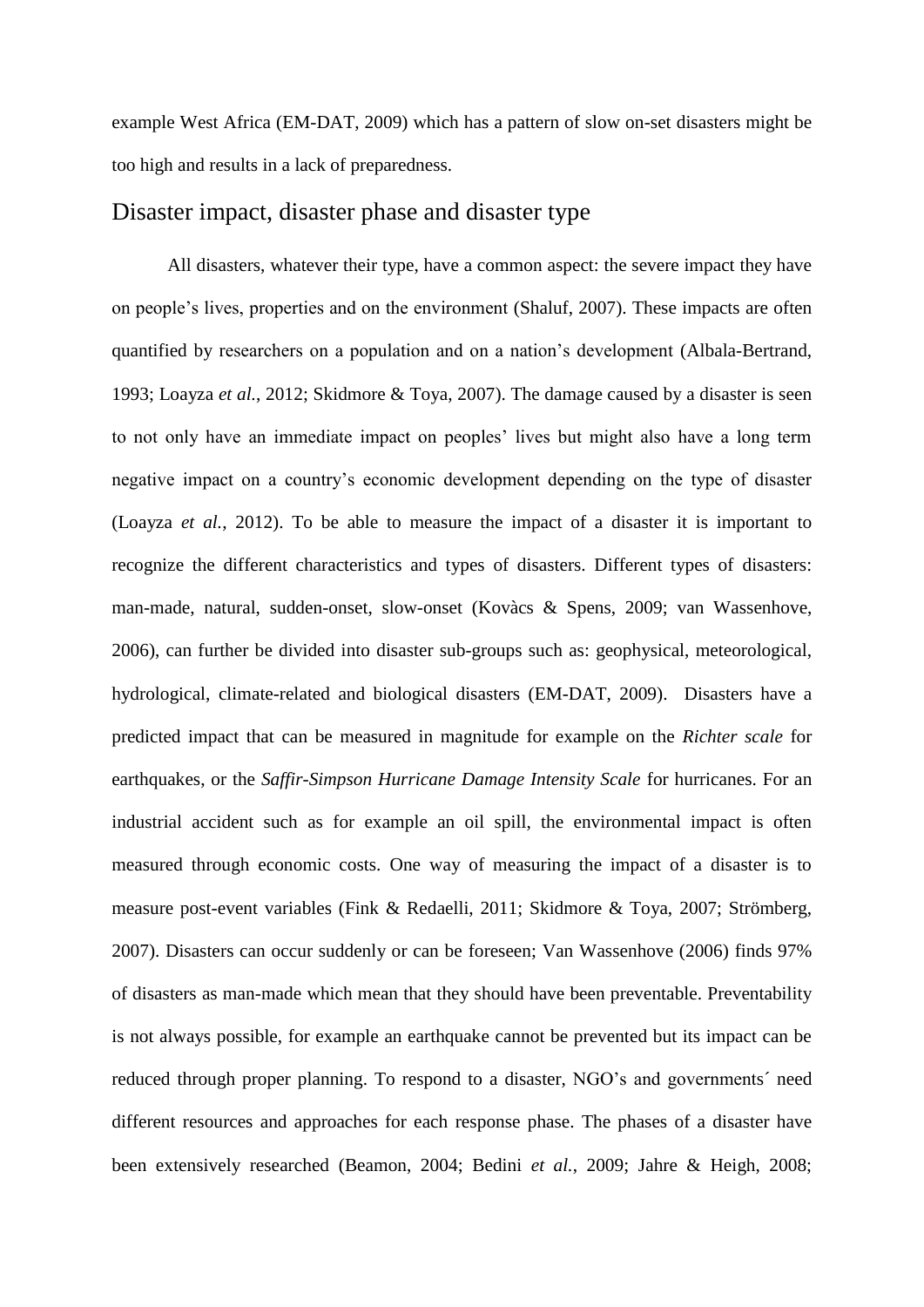example West Africa (EM-DAT, 2009) which has a pattern of slow on-set disasters might be too high and results in a lack of preparedness.

## Disaster impact, disaster phase and disaster type

All disasters, whatever their type, have a common aspect: the severe impact they have on people's lives, properties and on the environment (Shaluf, 2007). These impacts are often quantified by researchers on a population and on a nation's development (Albala-Bertrand, 1993; Loayza *et al.*, 2012; Skidmore & Toya, 2007). The damage caused by a disaster is seen to not only have an immediate impact on peoples' lives but might also have a long term negative impact on a country's economic development depending on the type of disaster (Loayza *et al.*, 2012). To be able to measure the impact of a disaster it is important to recognize the different characteristics and types of disasters. Different types of disasters: man-made, natural, sudden-onset, slow-onset (Kovàcs & Spens, 2009; van Wassenhove, 2006), can further be divided into disaster sub-groups such as: geophysical, meteorological, hydrological, climate-related and biological disasters (EM-DAT, 2009). Disasters have a predicted impact that can be measured in magnitude for example on the *Richter scale* for earthquakes, or the *Saffir-Simpson Hurricane Damage Intensity Scale* for hurricanes. For an industrial accident such as for example an oil spill, the environmental impact is often measured through economic costs. One way of measuring the impact of a disaster is to measure post-event variables (Fink & Redaelli, 2011; Skidmore & Toya, 2007; Strömberg, 2007). Disasters can occur suddenly or can be foreseen; Van Wassenhove (2006) finds 97% of disasters as man-made which mean that they should have been preventable. Preventability is not always possible, for example an earthquake cannot be prevented but its impact can be reduced through proper planning. To respond to a disaster, NGO's and governments´ need different resources and approaches for each response phase. The phases of a disaster have been extensively researched (Beamon, 2004; Bedini *et al.*, 2009; Jahre & Heigh, 2008;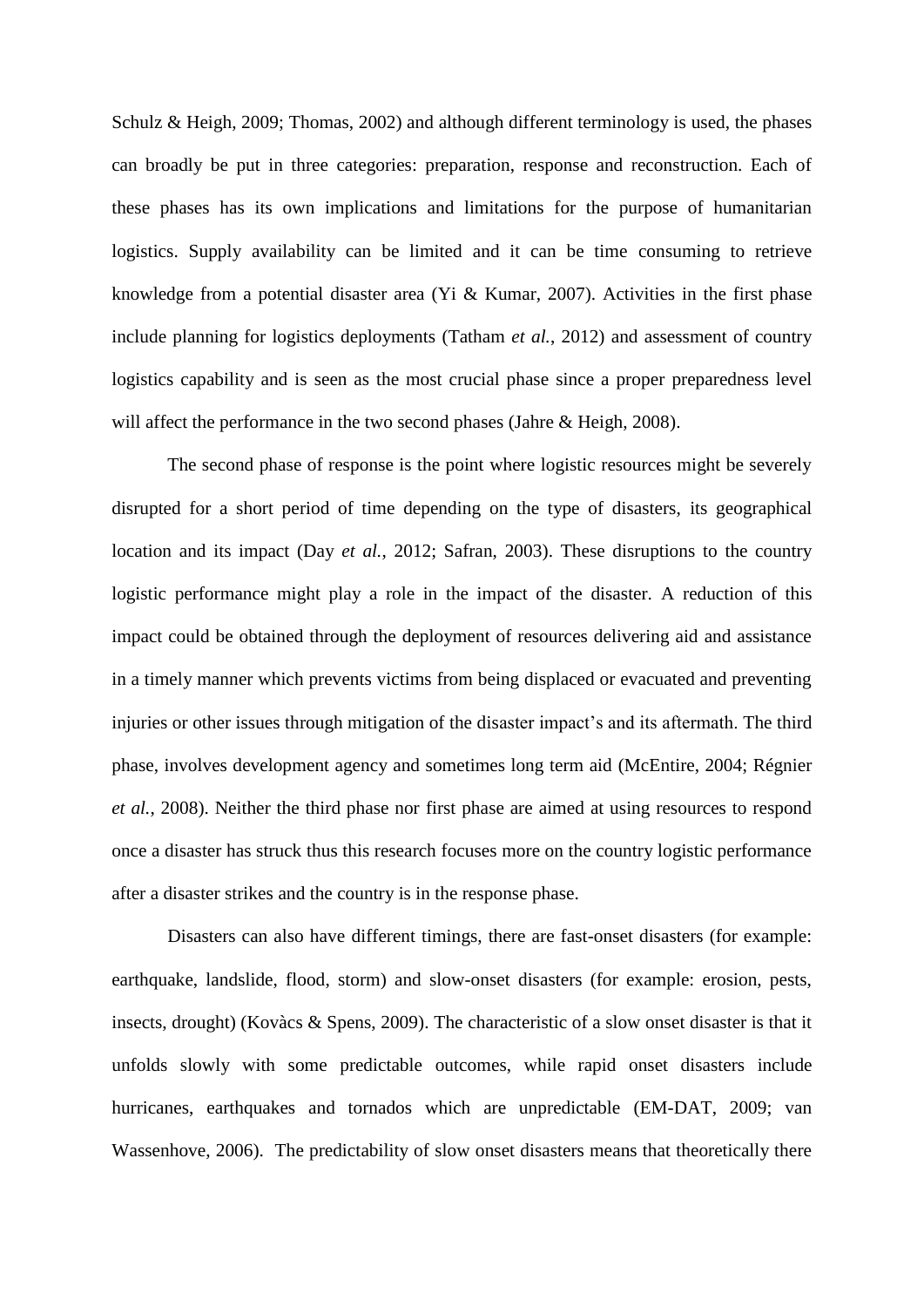Schulz & Heigh, 2009; Thomas, 2002) and although different terminology is used, the phases can broadly be put in three categories: preparation, response and reconstruction. Each of these phases has its own implications and limitations for the purpose of humanitarian logistics. Supply availability can be limited and it can be time consuming to retrieve knowledge from a potential disaster area (Yi & Kumar, 2007). Activities in the first phase include planning for logistics deployments (Tatham *et al.*, 2012) and assessment of country logistics capability and is seen as the most crucial phase since a proper preparedness level will affect the performance in the two second phases (Jahre & Heigh, 2008).

The second phase of response is the point where logistic resources might be severely disrupted for a short period of time depending on the type of disasters, its geographical location and its impact (Day *et al.*, 2012; Safran, 2003). These disruptions to the country logistic performance might play a role in the impact of the disaster. A reduction of this impact could be obtained through the deployment of resources delivering aid and assistance in a timely manner which prevents victims from being displaced or evacuated and preventing injuries or other issues through mitigation of the disaster impact's and its aftermath. The third phase, involves development agency and sometimes long term aid (McEntire, 2004; Régnier *et al.*, 2008). Neither the third phase nor first phase are aimed at using resources to respond once a disaster has struck thus this research focuses more on the country logistic performance after a disaster strikes and the country is in the response phase.

Disasters can also have different timings, there are fast-onset disasters (for example: earthquake, landslide, flood, storm) and slow-onset disasters (for example: erosion, pests, insects, drought) (Kovàcs & Spens, 2009). The characteristic of a slow onset disaster is that it unfolds slowly with some predictable outcomes, while rapid onset disasters include hurricanes, earthquakes and tornados which are unpredictable (EM-DAT, 2009; van Wassenhove, 2006). The predictability of slow onset disasters means that theoretically there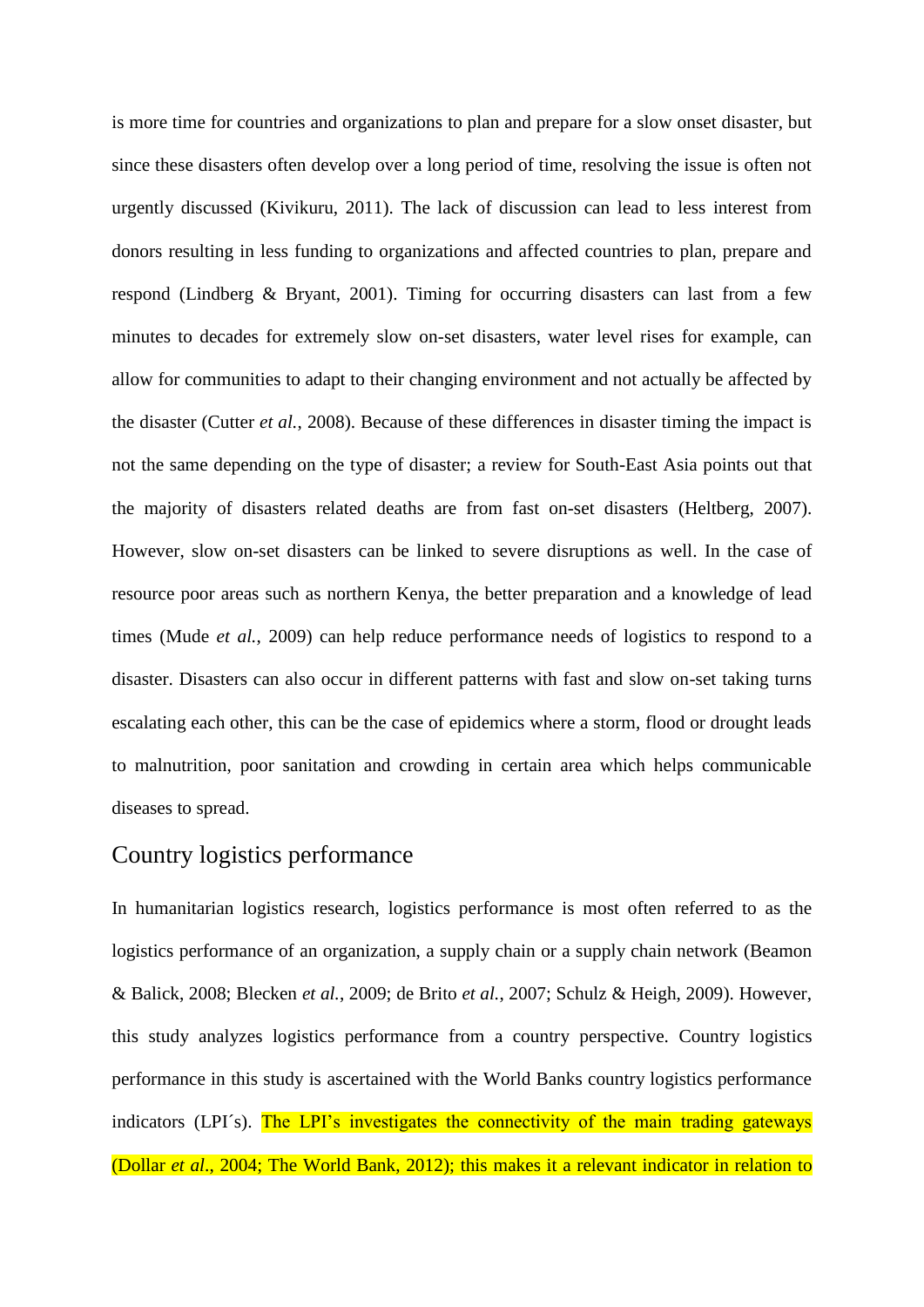is more time for countries and organizations to plan and prepare for a slow onset disaster, but since these disasters often develop over a long period of time, resolving the issue is often not urgently discussed (Kivikuru, 2011). The lack of discussion can lead to less interest from donors resulting in less funding to organizations and affected countries to plan, prepare and respond (Lindberg & Bryant, 2001). Timing for occurring disasters can last from a few minutes to decades for extremely slow on-set disasters, water level rises for example, can allow for communities to adapt to their changing environment and not actually be affected by the disaster (Cutter *et al.*, 2008). Because of these differences in disaster timing the impact is not the same depending on the type of disaster; a review for South-East Asia points out that the majority of disasters related deaths are from fast on-set disasters (Heltberg, 2007). However, slow on-set disasters can be linked to severe disruptions as well. In the case of resource poor areas such as northern Kenya, the better preparation and a knowledge of lead times (Mude *et al.*, 2009) can help reduce performance needs of logistics to respond to a disaster. Disasters can also occur in different patterns with fast and slow on-set taking turns escalating each other, this can be the case of epidemics where a storm, flood or drought leads to malnutrition, poor sanitation and crowding in certain area which helps communicable diseases to spread.

# Country logistics performance

In humanitarian logistics research, logistics performance is most often referred to as the logistics performance of an organization, a supply chain or a supply chain network (Beamon & Balick, 2008; Blecken *et al.*, 2009; de Brito *et al.*, 2007; Schulz & Heigh, 2009). However, this study analyzes logistics performance from a country perspective. Country logistics performance in this study is ascertained with the World Banks country logistics performance indicators (LPI's). The LPI's investigates the connectivity of the main trading gateways (Dollar *et al*., 2004; The World Bank, 2012); this makes it a relevant indicator in relation to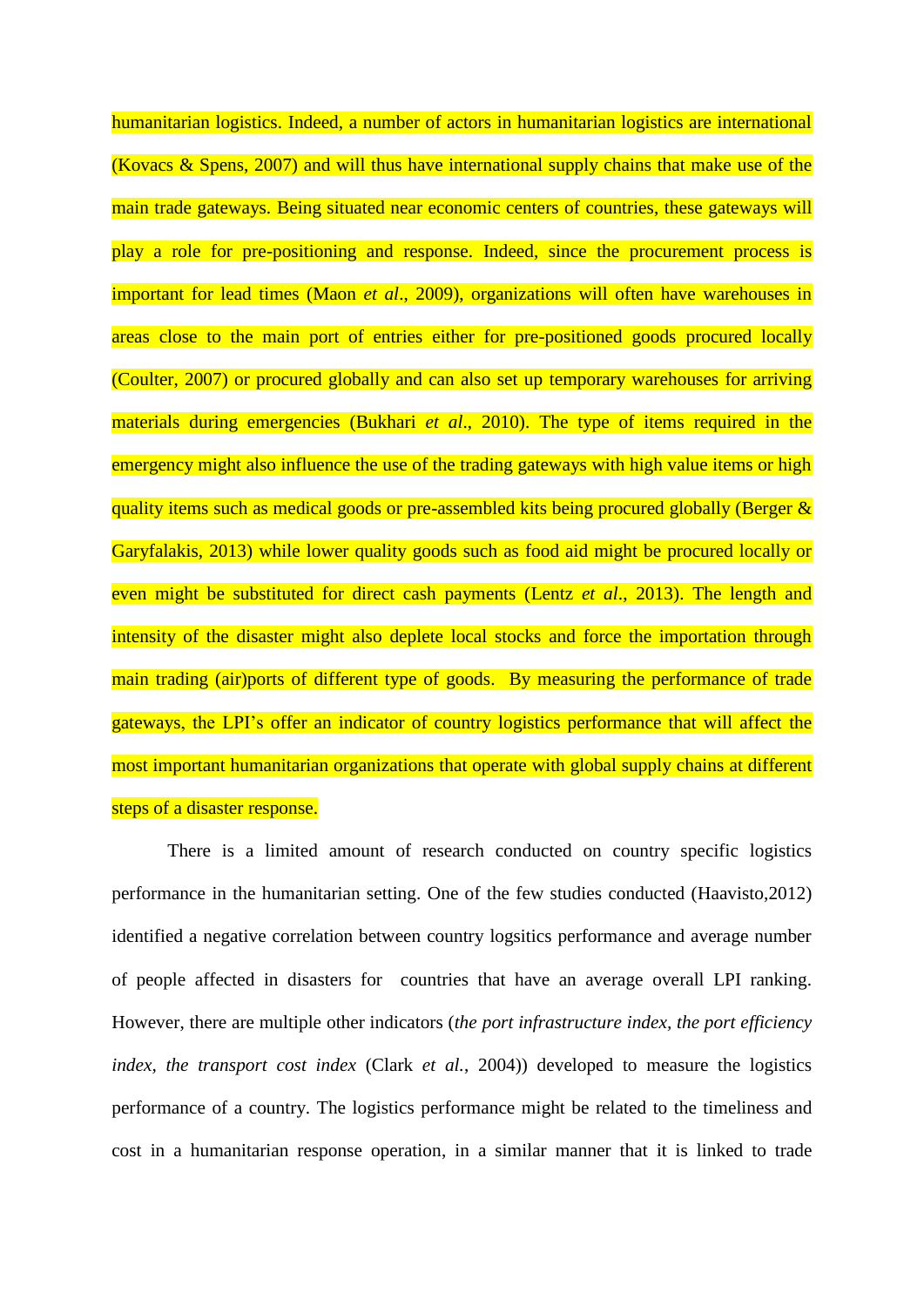humanitarian logistics. Indeed, a number of actors in humanitarian logistics are international (Kovacs & Spens, 2007) and will thus have international supply chains that make use of the main trade gateways. Being situated near economic centers of countries, these gateways will play a role for pre-positioning and response. Indeed, since the procurement process is important for lead times (Maon *et al*., 2009), organizations will often have warehouses in areas close to the main port of entries either for pre-positioned goods procured locally (Coulter, 2007) or procured globally and can also set up temporary warehouses for arriving materials during emergencies (Bukhari *et al*., 2010). The type of items required in the emergency might also influence the use of the trading gateways with high value items or high quality items such as medical goods or pre-assembled kits being procured globally (Berger  $\&$ Garyfalakis, 2013) while lower quality goods such as food aid might be procured locally or even might be substituted for direct cash payments (Lentz *et al*., 2013). The length and intensity of the disaster might also deplete local stocks and force the importation through main trading (air)ports of different type of goods. By measuring the performance of trade gateways, the LPI's offer an indicator of country logistics performance that will affect the most important humanitarian organizations that operate with global supply chains at different steps of a disaster response.

There is a limited amount of research conducted on country specific logistics performance in the humanitarian setting. One of the few studies conducted (Haavisto,2012) identified a negative correlation between country logsitics performance and average number of people affected in disasters for countries that have an average overall LPI ranking. However, there are multiple other indicators (*the port infrastructure index, the port efficiency index, the transport cost index* (Clark *et al.*, 2004)) developed to measure the logistics performance of a country. The logistics performance might be related to the timeliness and cost in a humanitarian response operation, in a similar manner that it is linked to trade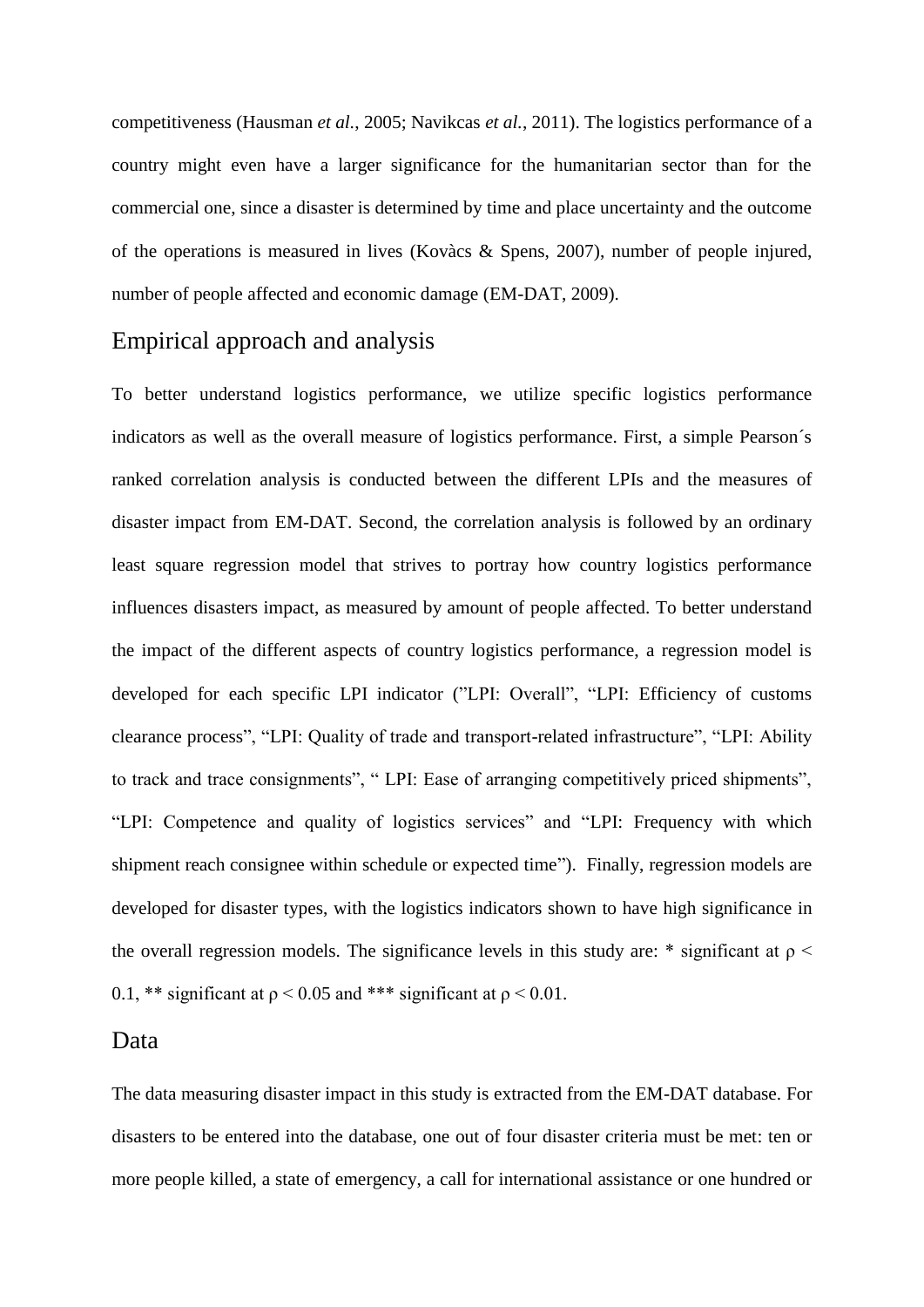competitiveness (Hausman *et al.*, 2005; Navikcas *et al.*, 2011). The logistics performance of a country might even have a larger significance for the humanitarian sector than for the commercial one, since a disaster is determined by time and place uncertainty and the outcome of the operations is measured in lives (Kovàcs & Spens, 2007), number of people injured, number of people affected and economic damage (EM-DAT, 2009).

# Empirical approach and analysis

To better understand logistics performance, we utilize specific logistics performance indicators as well as the overall measure of logistics performance. First, a simple Pearson´s ranked correlation analysis is conducted between the different LPIs and the measures of disaster impact from EM-DAT. Second, the correlation analysis is followed by an ordinary least square regression model that strives to portray how country logistics performance influences disasters impact, as measured by amount of people affected. To better understand the impact of the different aspects of country logistics performance, a regression model is developed for each specific LPI indicator ("LPI: Overall", "LPI: Efficiency of customs clearance process", "LPI: Quality of trade and transport-related infrastructure", "LPI: Ability to track and trace consignments", " LPI: Ease of arranging competitively priced shipments", "LPI: Competence and quality of logistics services" and "LPI: Frequency with which shipment reach consignee within schedule or expected time"). Finally, regression models are developed for disaster types, with the logistics indicators shown to have high significance in the overall regression models. The significance levels in this study are: \* significant at  $\rho$  < 0.1, \*\* significant at  $\rho$  < 0.05 and \*\*\* significant at  $\rho$  < 0.01.

#### Data

The data measuring disaster impact in this study is extracted from the EM-DAT database. For disasters to be entered into the database, one out of four disaster criteria must be met: ten or more people killed, a state of emergency, a call for international assistance or one hundred or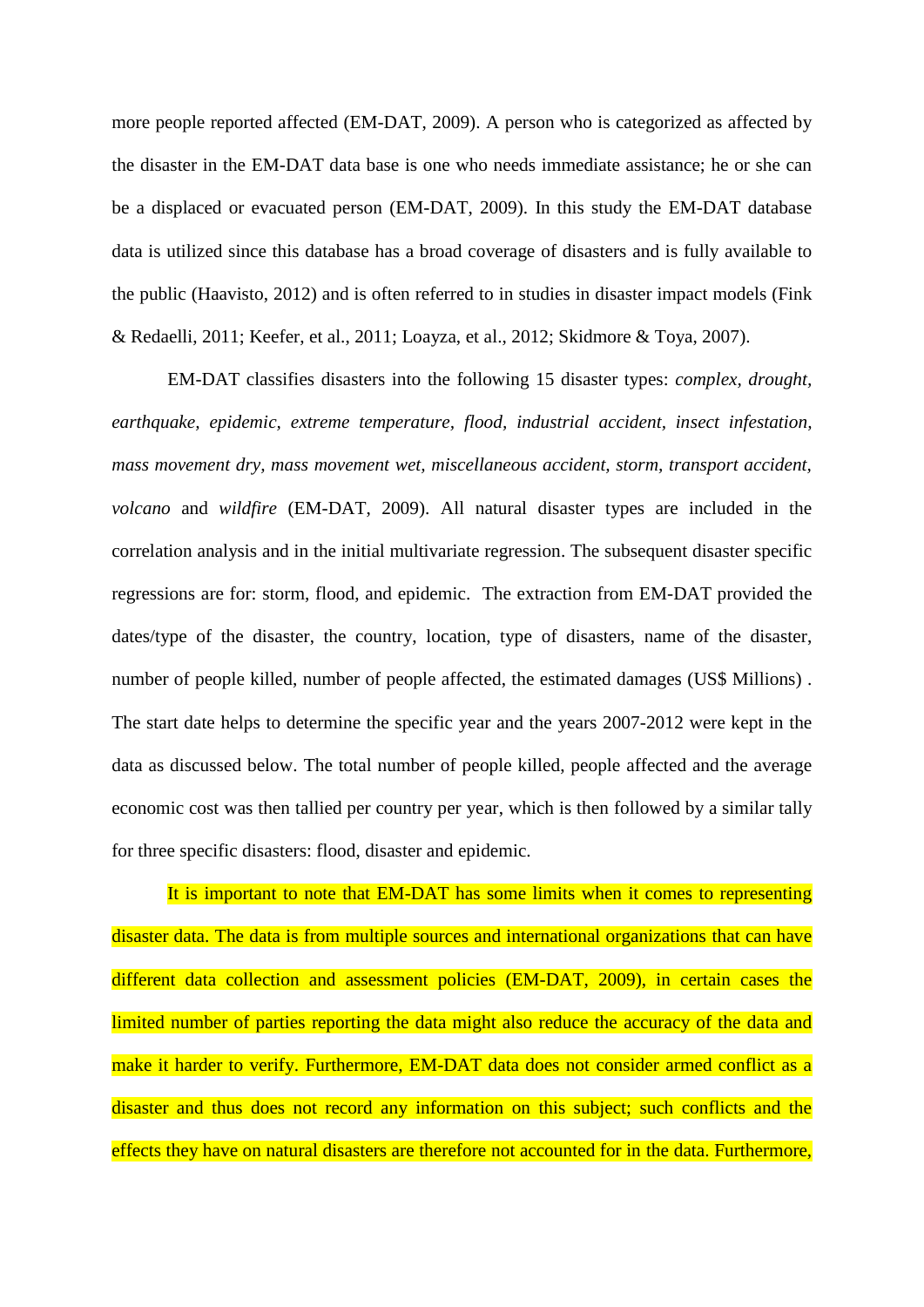more people reported affected (EM-DAT, 2009). A person who is categorized as affected by the disaster in the EM-DAT data base is one who needs immediate assistance; he or she can be a displaced or evacuated person (EM-DAT, 2009). In this study the EM-DAT database data is utilized since this database has a broad coverage of disasters and is fully available to the public (Haavisto, 2012) and is often referred to in studies in disaster impact models (Fink & Redaelli, 2011; Keefer, et al., 2011; Loayza, et al., 2012; Skidmore & Toya, 2007).

EM-DAT classifies disasters into the following 15 disaster types: *complex, drought, earthquake, epidemic, extreme temperature, flood, industrial accident, insect infestation, mass movement dry, mass movement wet, miscellaneous accident, storm, transport accident, volcano* and *wildfire* (EM-DAT, 2009). All natural disaster types are included in the correlation analysis and in the initial multivariate regression. The subsequent disaster specific regressions are for: storm, flood, and epidemic. The extraction from EM-DAT provided the dates/type of the disaster, the country, location, type of disasters, name of the disaster, number of people killed, number of people affected, the estimated damages (US\$ Millions) . The start date helps to determine the specific year and the years 2007-2012 were kept in the data as discussed below. The total number of people killed, people affected and the average economic cost was then tallied per country per year, which is then followed by a similar tally for three specific disasters: flood, disaster and epidemic.

It is important to note that EM-DAT has some limits when it comes to representing disaster data. The data is from multiple sources and international organizations that can have different data collection and assessment policies (EM-DAT, 2009), in certain cases the limited number of parties reporting the data might also reduce the accuracy of the data and make it harder to verify. Furthermore, EM-DAT data does not consider armed conflict as a disaster and thus does not record any information on this subject; such conflicts and the effects they have on natural disasters are therefore not accounted for in the data. Furthermore,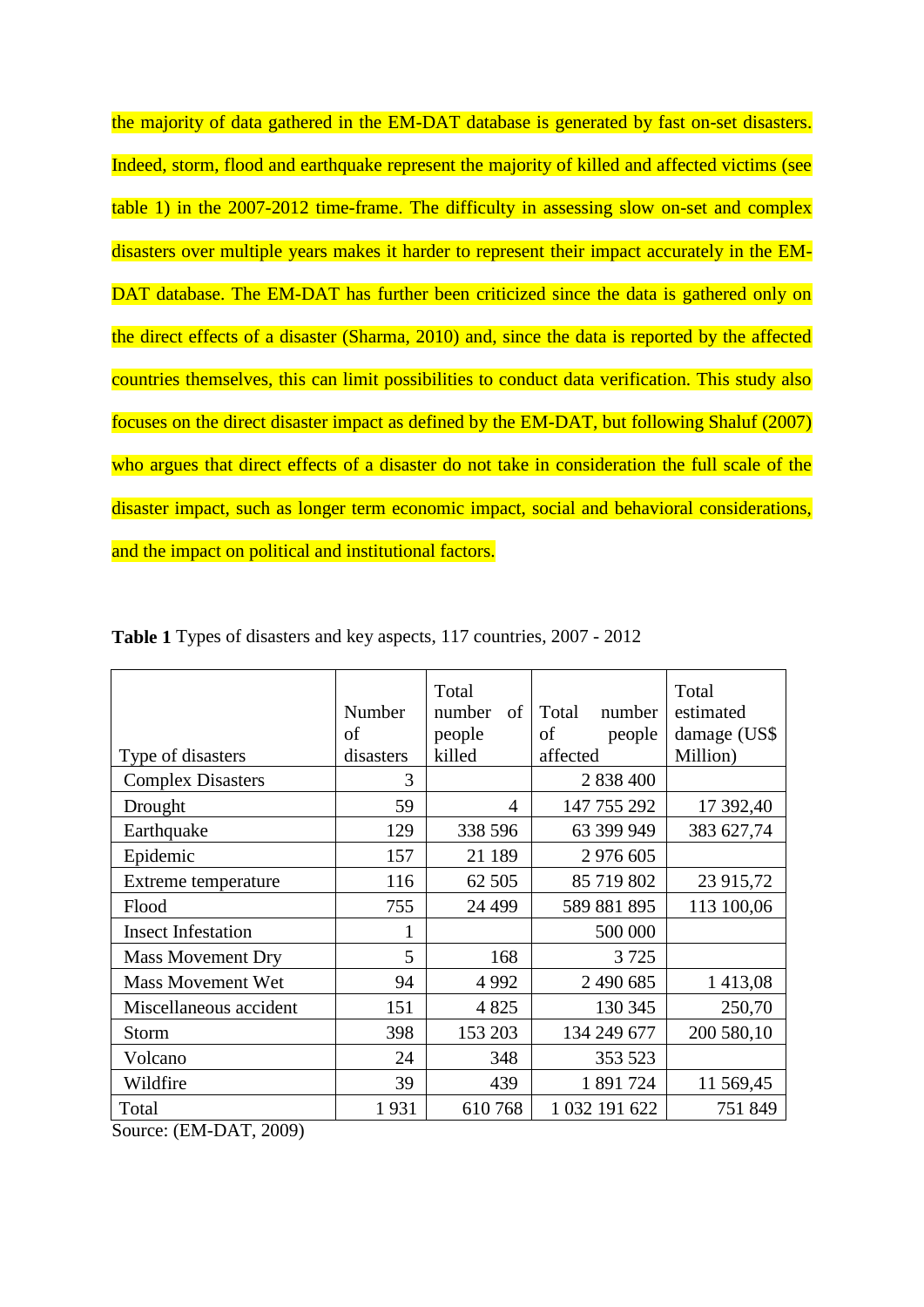the majority of data gathered in the EM-DAT database is generated by fast on-set disasters. Indeed, storm, flood and earthquake represent the majority of killed and affected victims (see table 1) in the 2007-2012 time-frame. The difficulty in assessing slow on-set and complex disasters over multiple years makes it harder to represent their impact accurately in the EM-DAT database. The EM-DAT has further been criticized since the data is gathered only on the direct effects of a disaster (Sharma, 2010) and, since the data is reported by the affected countries themselves, this can limit possibilities to conduct data verification. This study also focuses on the direct disaster impact as defined by the EM-DAT, but following Shaluf (2007) who argues that direct effects of a disaster do not take in consideration the full scale of the disaster impact, such as longer term economic impact, social and behavioral considerations, and the impact on political and institutional factors.

| Type of disasters         | Number<br>of<br>disasters | Total<br>number<br>of<br>people<br>killed | Total<br>number<br>of<br>people<br>affected | Total<br>estimated<br>damage (US\$<br>Million) |
|---------------------------|---------------------------|-------------------------------------------|---------------------------------------------|------------------------------------------------|
| <b>Complex Disasters</b>  | 3                         |                                           | 2 838 400                                   |                                                |
| Drought                   | 59                        | $\overline{4}$                            | 147 755 292                                 | 17 392,40                                      |
| Earthquake                | 129                       | 338 596                                   | 63 399 949                                  | 383 627,74                                     |
| Epidemic                  | 157                       | 21 189                                    | 2 976 605                                   |                                                |
| Extreme temperature       | 116                       | 62 505                                    | 85 719 802                                  | 23 915,72                                      |
| Flood                     | 755                       | 24 4 9 9                                  | 589 881 895                                 | 113 100,06                                     |
| <b>Insect Infestation</b> | 1                         |                                           | 500 000                                     |                                                |
| <b>Mass Movement Dry</b>  | 5                         | 168                                       | 3725                                        |                                                |
| <b>Mass Movement Wet</b>  | 94                        | 4 9 9 2                                   | 2 490 685                                   | 1 413,08                                       |
| Miscellaneous accident    | 151                       | 4 8 2 5                                   | 130 345                                     | 250,70                                         |
| Storm                     | 398                       | 153 203                                   | 134 249 677                                 | 200 580,10                                     |
| Volcano                   | 24                        | 348                                       | 353 523                                     |                                                |
| Wildfire                  | 39                        | 439                                       | 1 891 724                                   | 11 569,45                                      |
| Total                     | 1931                      | 610768                                    | 1 032 191 622                               | 751 849                                        |

**Table 1** Types of disasters and key aspects, 117 countries, 2007 - 2012

Source: (EM-DAT, 2009)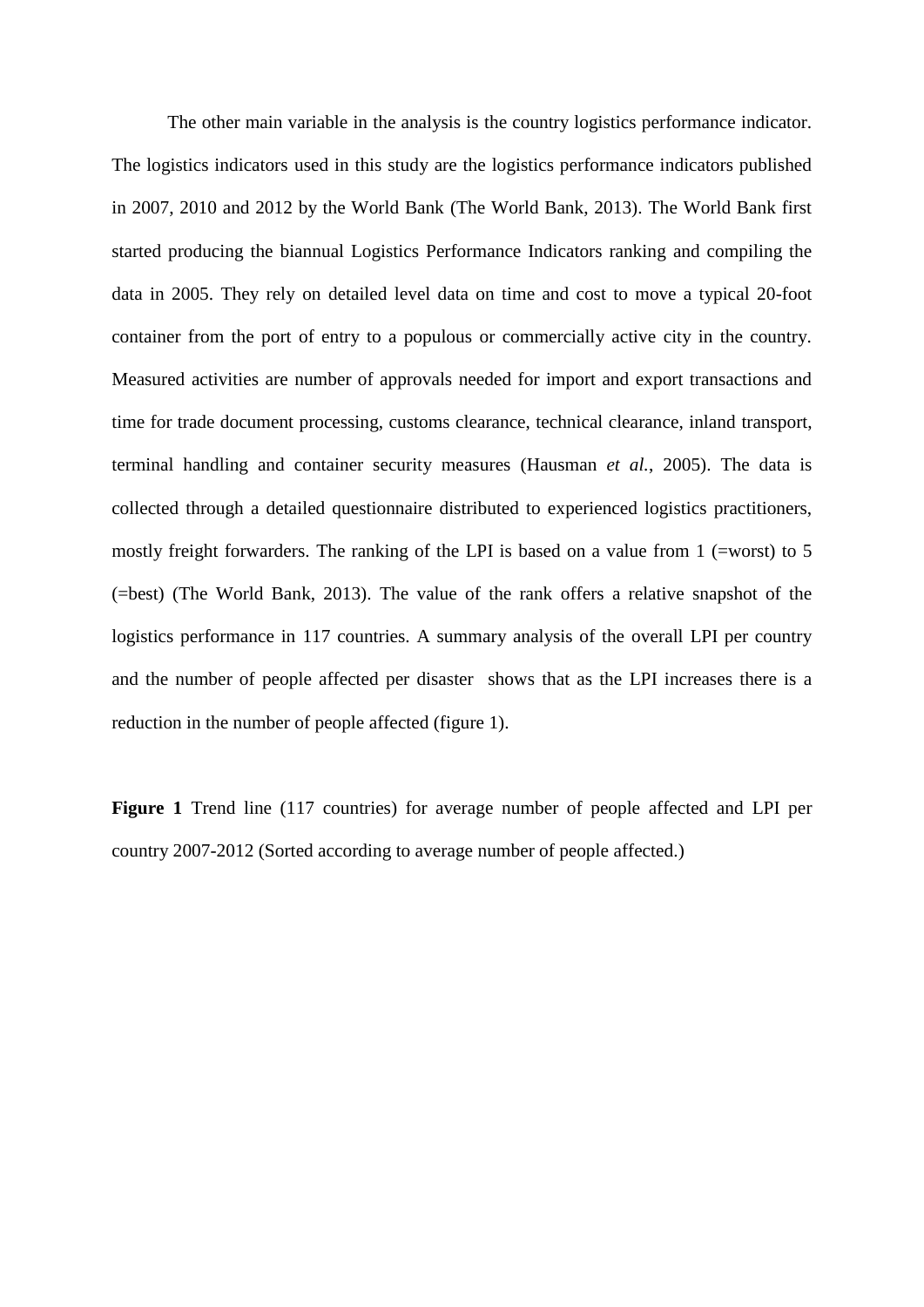The other main variable in the analysis is the country logistics performance indicator. The logistics indicators used in this study are the logistics performance indicators published in 2007, 2010 and 2012 by the World Bank (The World Bank, 2013). The World Bank first started producing the biannual Logistics Performance Indicators ranking and compiling the data in 2005. They rely on detailed level data on time and cost to move a typical 20-foot container from the port of entry to a populous or commercially active city in the country. Measured activities are number of approvals needed for import and export transactions and time for trade document processing, customs clearance, technical clearance, inland transport, terminal handling and container security measures (Hausman *et al.*, 2005). The data is collected through a detailed questionnaire distributed to experienced logistics practitioners, mostly freight forwarders. The ranking of the LPI is based on a value from 1 (=worst) to 5 (=best) (The World Bank, 2013). The value of the rank offers a relative snapshot of the logistics performance in 117 countries. A summary analysis of the overall LPI per country and the number of people affected per disaster shows that as the LPI increases there is a reduction in the number of people affected (figure 1).

**Figure 1** Trend line (117 countries) for average number of people affected and LPI per country 2007-2012 (Sorted according to average number of people affected.)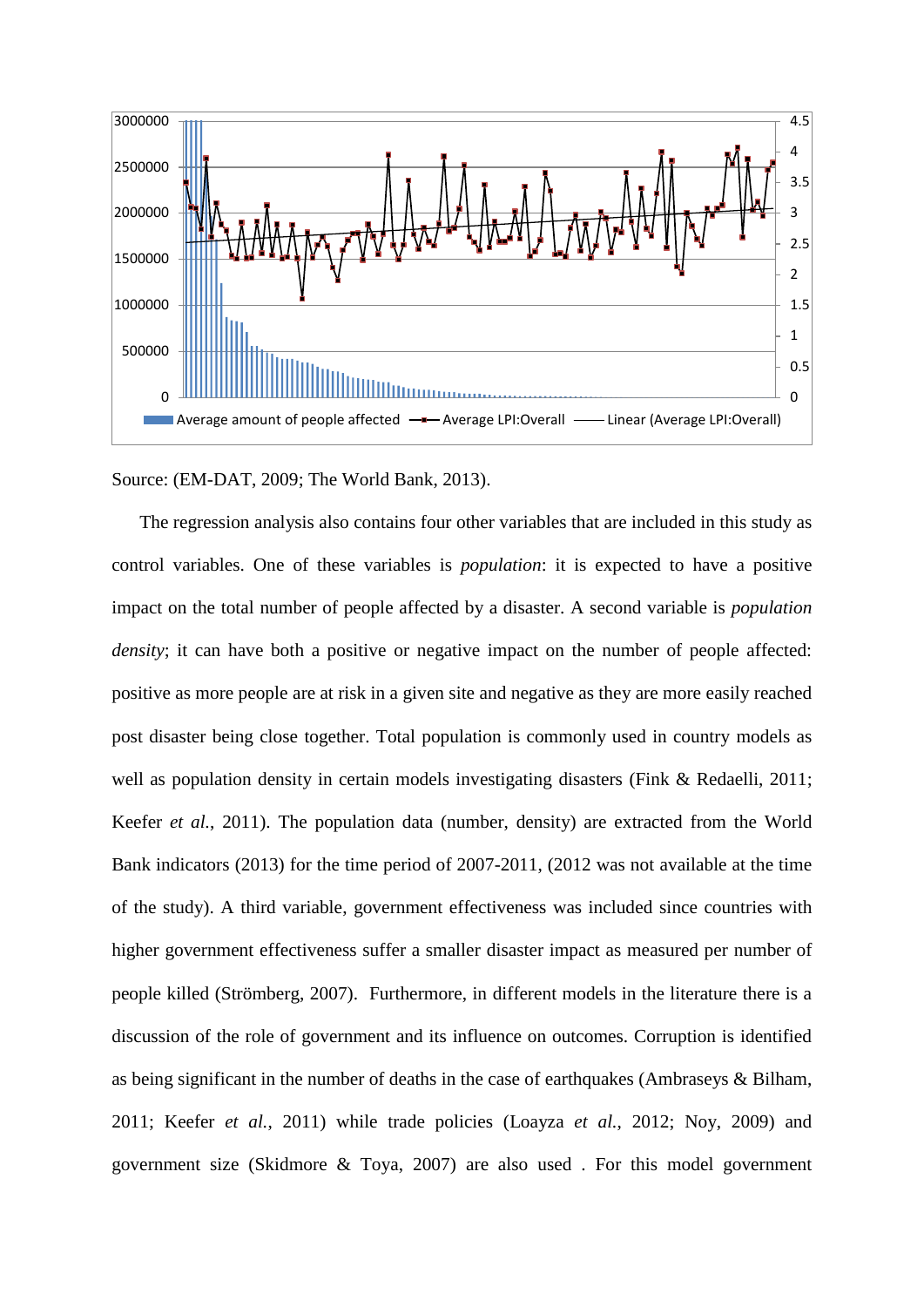

Source: (EM-DAT, 2009; The World Bank, 2013).

The regression analysis also contains four other variables that are included in this study as control variables. One of these variables is *population*: it is expected to have a positive impact on the total number of people affected by a disaster. A second variable is *population density*; it can have both a positive or negative impact on the number of people affected: positive as more people are at risk in a given site and negative as they are more easily reached post disaster being close together. Total population is commonly used in country models as well as population density in certain models investigating disasters (Fink & Redaelli, 2011; Keefer *et al.*, 2011). The population data (number, density) are extracted from the World Bank indicators (2013) for the time period of 2007-2011, (2012 was not available at the time of the study). A third variable, government effectiveness was included since countries with higher government effectiveness suffer a smaller disaster impact as measured per number of people killed (Strömberg, 2007). Furthermore, in different models in the literature there is a discussion of the role of government and its influence on outcomes. Corruption is identified as being significant in the number of deaths in the case of earthquakes (Ambraseys & Bilham, 2011; Keefer *et al.*, 2011) while trade policies (Loayza *et al.*, 2012; Noy, 2009) and government size (Skidmore & Toya, 2007) are also used . For this model government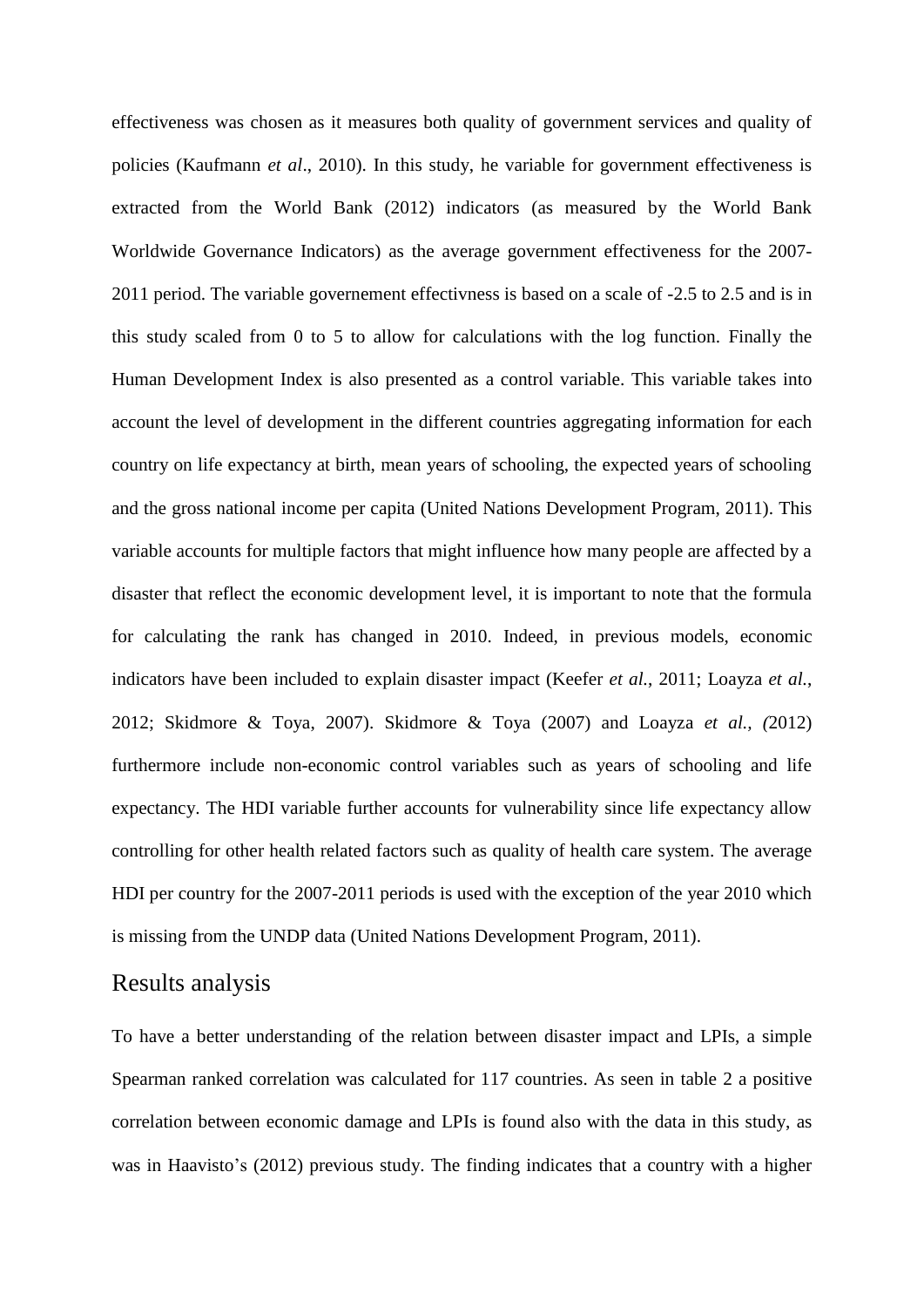effectiveness was chosen as it measures both quality of government services and quality of policies (Kaufmann *et al*., 2010). In this study, he variable for government effectiveness is extracted from the World Bank (2012) indicators (as measured by the World Bank Worldwide Governance Indicators) as the average government effectiveness for the 2007- 2011 period. The variable governement effectivness is based on a scale of -2.5 to 2.5 and is in this study scaled from 0 to 5 to allow for calculations with the log function. Finally the Human Development Index is also presented as a control variable. This variable takes into account the level of development in the different countries aggregating information for each country on life expectancy at birth, mean years of schooling, the expected years of schooling and the gross national income per capita (United Nations Development Program, 2011). This variable accounts for multiple factors that might influence how many people are affected by a disaster that reflect the economic development level, it is important to note that the formula for calculating the rank has changed in 2010. Indeed, in previous models, economic indicators have been included to explain disaster impact (Keefer *et al.*, 2011; Loayza *et al.*, 2012; Skidmore & Toya, 2007). Skidmore & Toya (2007) and Loayza *et al., (*2012) furthermore include non-economic control variables such as years of schooling and life expectancy. The HDI variable further accounts for vulnerability since life expectancy allow controlling for other health related factors such as quality of health care system. The average HDI per country for the 2007-2011 periods is used with the exception of the year 2010 which is missing from the UNDP data (United Nations Development Program, 2011).

# Results analysis

To have a better understanding of the relation between disaster impact and LPIs, a simple Spearman ranked correlation was calculated for 117 countries. As seen in table 2 a positive correlation between economic damage and LPIs is found also with the data in this study, as was in Haavisto's (2012) previous study. The finding indicates that a country with a higher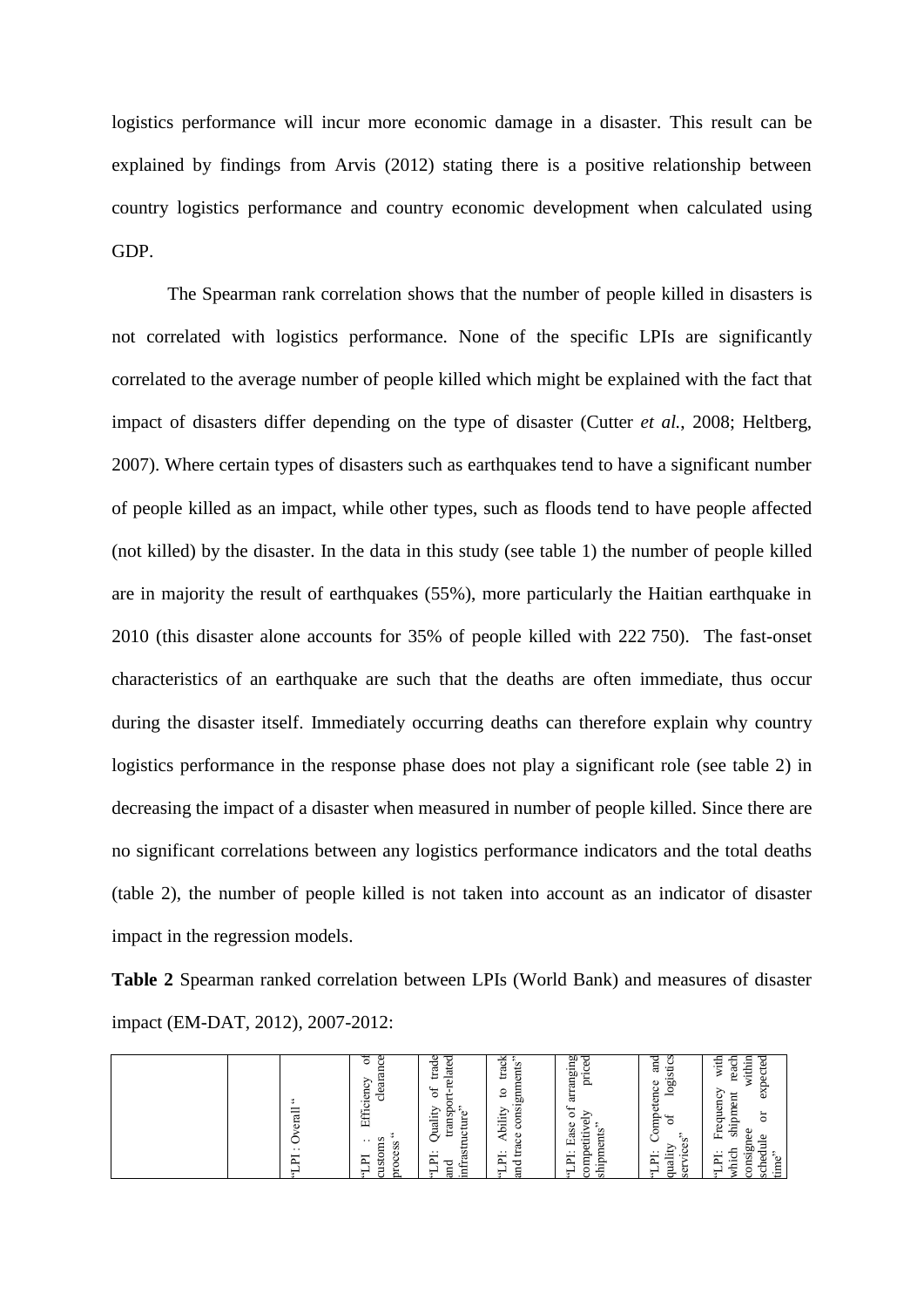logistics performance will incur more economic damage in a disaster. This result can be explained by findings from Arvis (2012) stating there is a positive relationship between country logistics performance and country economic development when calculated using GDP.

The Spearman rank correlation shows that the number of people killed in disasters is not correlated with logistics performance. None of the specific LPIs are significantly correlated to the average number of people killed which might be explained with the fact that impact of disasters differ depending on the type of disaster (Cutter *et al.*, 2008; Heltberg, 2007). Where certain types of disasters such as earthquakes tend to have a significant number of people killed as an impact, while other types, such as floods tend to have people affected (not killed) by the disaster. In the data in this study (see table 1) the number of people killed are in majority the result of earthquakes (55%), more particularly the Haitian earthquake in 2010 (this disaster alone accounts for 35% of people killed with 222 750). The fast-onset characteristics of an earthquake are such that the deaths are often immediate, thus occur during the disaster itself. Immediately occurring deaths can therefore explain why country logistics performance in the response phase does not play a significant role (see table 2) in decreasing the impact of a disaster when measured in number of people killed. Since there are no significant correlations between any logistics performance indicators and the total deaths (table 2), the number of people killed is not taken into account as an indicator of disaster impact in the regression models.

**Table 2** Spearman ranked correlation between LPIs (World Bank) and measures of disaster impact (EM-DAT, 2012), 2007-2012:

| M<br>÷<br>erall<br>∽<br>$\cdot$ .<br>Σ                                                                                                                                             |
|------------------------------------------------------------------------------------------------------------------------------------------------------------------------------------|
| ㅎ<br>S,<br>ದ<br>ē<br>ರ<br>ပ<br>ĚŔ<br>÷<br>oms<br>$\cdot$ $\cdot$<br>ess<br>ቯ<br>8<br>ಕ<br>ā                                                                                        |
| P<br>ಕೆ<br>$_{\rm date}$<br>⊷<br>↩<br>∺<br>5°<br>₩<br>$\ddot{\phantom{0}}$<br>ansp<br>yuality<br>ture<br>ь<br>g<br>ر<br>astr<br>. .<br>E<br>infr<br>and<br>F<br>$\sim$             |
| $rac{\text{drds}}{\text{cmds}}$<br>consignm<br>₽<br>bility<br>g<br>≺<br>ಡ<br>ᄇ<br>$\cdots$<br>−<br>ட்<br>ರ<br>ā<br>↽<br>v.                                                         |
| ø<br>ਦ<br>ِ⊞.<br>ಕಿ<br>Ē<br>an<br>Ę<br>Ъ<br>≥<br>ompetitive<br>ase<br>shipments<br>$r - 5$<br>щ<br>. .<br>ቯ<br>Ë.<br>Ō                                                             |
| ᇢ<br>s<br>g<br>ಕ<br>.g0<br>Φ<br>g<br>ete<br>Ě<br>₩<br>٥<br>်"<br>Ũ<br>ë<br>బ<br>È<br>न्म<br>ser<br>∍<br>ా<br>ರ                                                                     |
| within<br>ith<br>÷<br>ಕ<br>≳<br>5<br>ă<br>6X<br>shipment<br>ల<br>Frequen<br>ă<br>ω<br>onsignee<br>Φ<br>ਤੁ<br>which<br>$\ddot{ }$<br>Ë<br>gd<br>time<br>–<br>$\mathbf{u}$<br>ø<br>ш |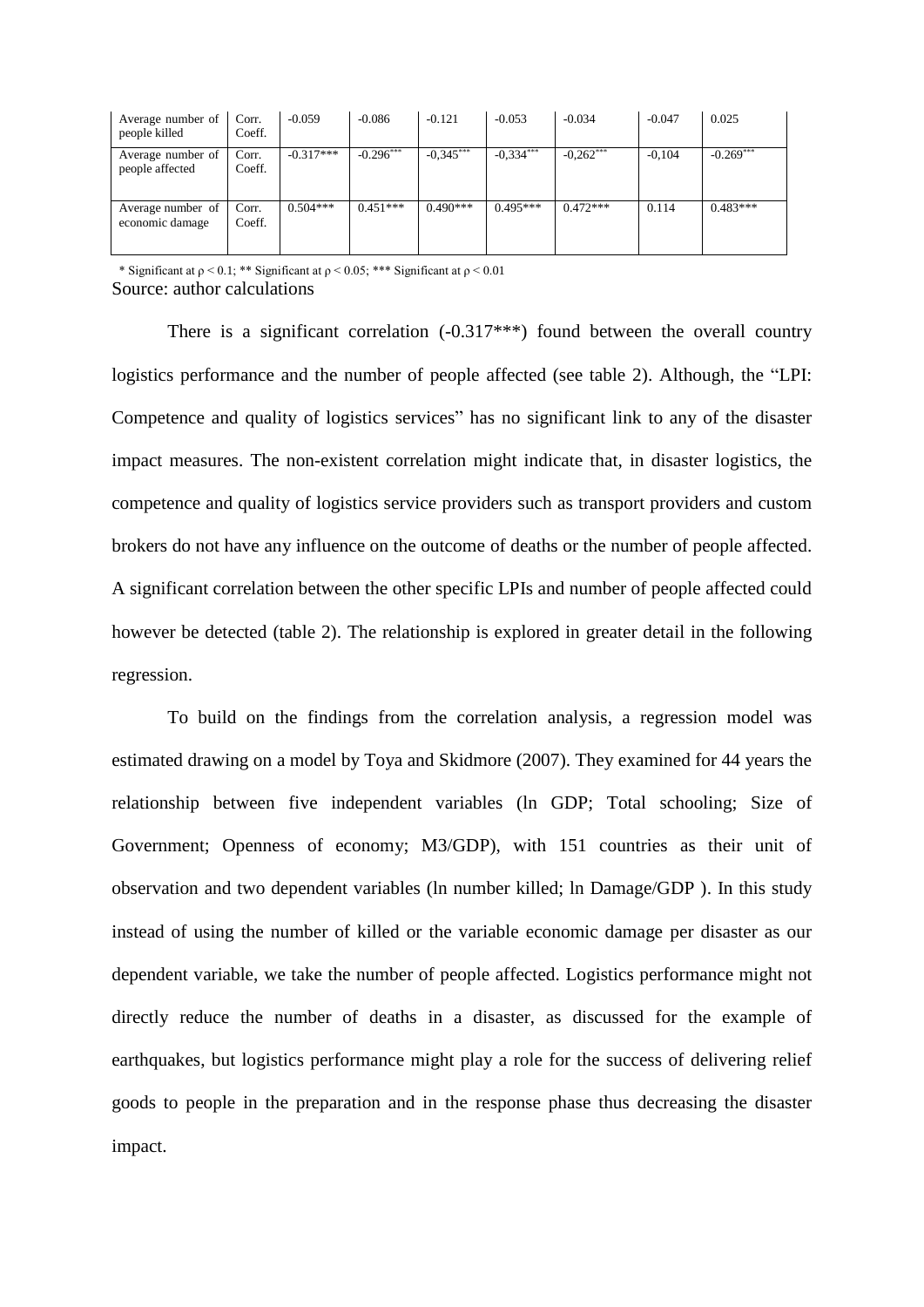| Average number of<br>people killed   | Corr.<br>Coeff. | $-0.059$    | $-0.086$    | $-0.121$    | $-0.053$    | $-0.034$    | $-0.047$ | 0.025       |
|--------------------------------------|-----------------|-------------|-------------|-------------|-------------|-------------|----------|-------------|
| Average number of<br>people affected | Corr.<br>Coeff. | $-0.317***$ | $-0.296***$ | $-0.345***$ | $-0.334***$ | $-0.262***$ | $-0.104$ | $-0.269***$ |
| Average number of<br>economic damage | Corr.<br>Coeff. | $0.504***$  | $0.451***$  | $0.490***$  | $0.495***$  | $0.472***$  | 0.114    | $0.483***$  |

\* Significant at  $p \le 0.1$ : \*\* Significant at  $p \le 0.05$ : \*\*\* Significant at  $p \le 0.01$ Source: author calculations

There is a significant correlation  $(-0.317***)$  found between the overall country logistics performance and the number of people affected (see table 2). Although, the "LPI: Competence and quality of logistics services" has no significant link to any of the disaster impact measures. The non-existent correlation might indicate that, in disaster logistics, the competence and quality of logistics service providers such as transport providers and custom brokers do not have any influence on the outcome of deaths or the number of people affected. A significant correlation between the other specific LPIs and number of people affected could however be detected (table 2). The relationship is explored in greater detail in the following regression.

To build on the findings from the correlation analysis, a regression model was estimated drawing on a model by Toya and Skidmore (2007). They examined for 44 years the relationship between five independent variables (ln GDP; Total schooling; Size of Government; Openness of economy; M3/GDP), with 151 countries as their unit of observation and two dependent variables (ln number killed; ln Damage/GDP ). In this study instead of using the number of killed or the variable economic damage per disaster as our dependent variable, we take the number of people affected. Logistics performance might not directly reduce the number of deaths in a disaster, as discussed for the example of earthquakes, but logistics performance might play a role for the success of delivering relief goods to people in the preparation and in the response phase thus decreasing the disaster impact.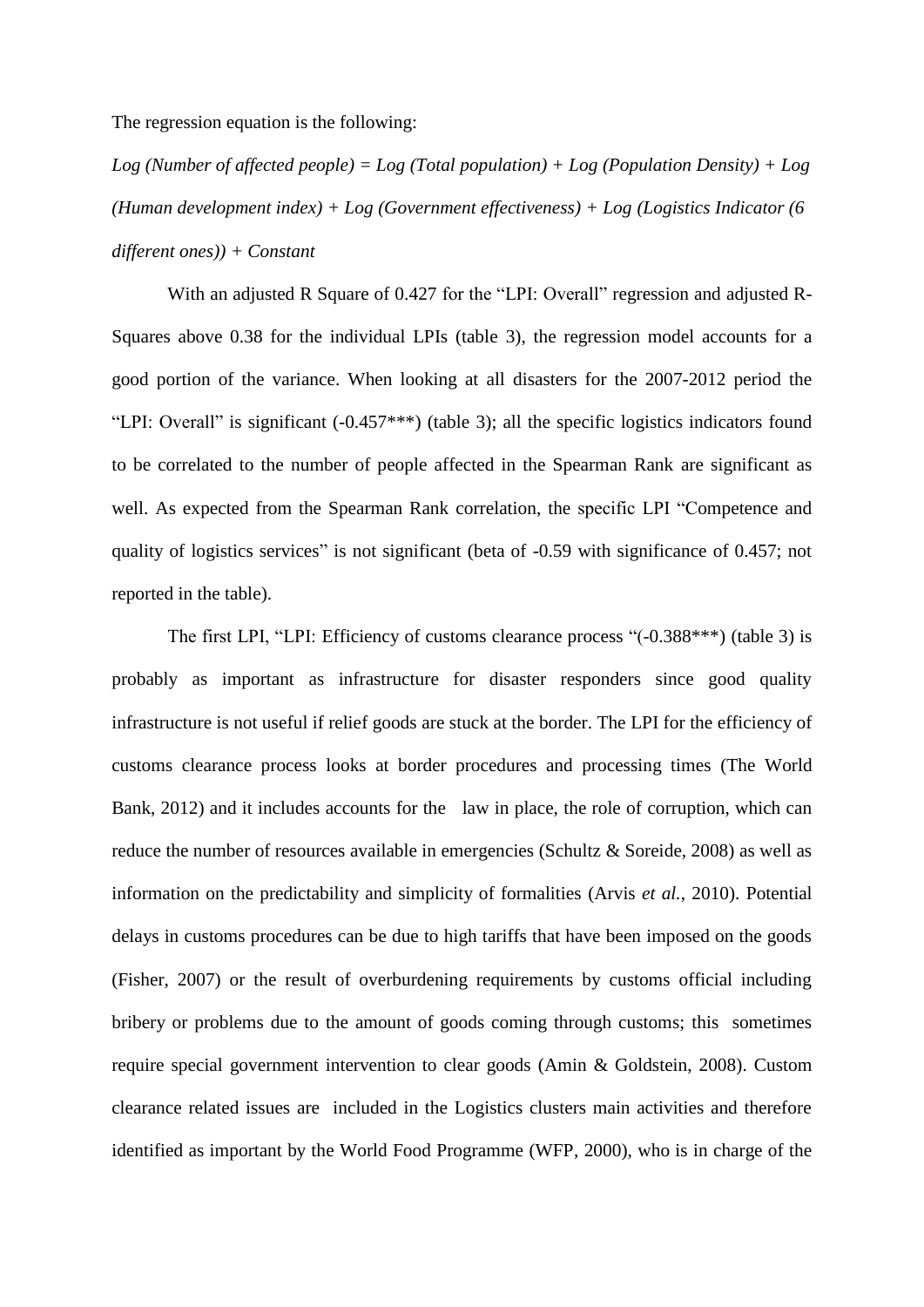The regression equation is the following:

*Log (Number of affected people) = Log (Total population) + Log (Population Density) + Log (Human development index) + Log (Government effectiveness) + Log (Logistics Indicator (6 different ones)) + Constant*

With an adjusted R Square of 0.427 for the "LPI: Overall" regression and adjusted R-Squares above 0.38 for the individual LPIs (table 3), the regression model accounts for a good portion of the variance. When looking at all disasters for the 2007-2012 period the "LPI: Overall" is significant (-0.457\*\*\*) (table 3); all the specific logistics indicators found to be correlated to the number of people affected in the Spearman Rank are significant as well. As expected from the Spearman Rank correlation, the specific LPI "Competence and quality of logistics services" is not significant (beta of -0.59 with significance of 0.457; not reported in the table).

The first LPI, "LPI: Efficiency of customs clearance process "(-0.388\*\*\*) (table 3) is probably as important as infrastructure for disaster responders since good quality infrastructure is not useful if relief goods are stuck at the border. The LPI for the efficiency of customs clearance process looks at border procedures and processing times (The World Bank, 2012) and it includes accounts for the law in place, the role of corruption, which can reduce the number of resources available in emergencies (Schultz & Soreide, 2008) as well as information on the predictability and simplicity of formalities (Arvis *et al.*, 2010). Potential delays in customs procedures can be due to high tariffs that have been imposed on the goods (Fisher, 2007) or the result of overburdening requirements by customs official including bribery or problems due to the amount of goods coming through customs; this sometimes require special government intervention to clear goods (Amin & Goldstein, 2008). Custom clearance related issues are included in the Logistics clusters main activities and therefore identified as important by the World Food Programme (WFP, 2000), who is in charge of the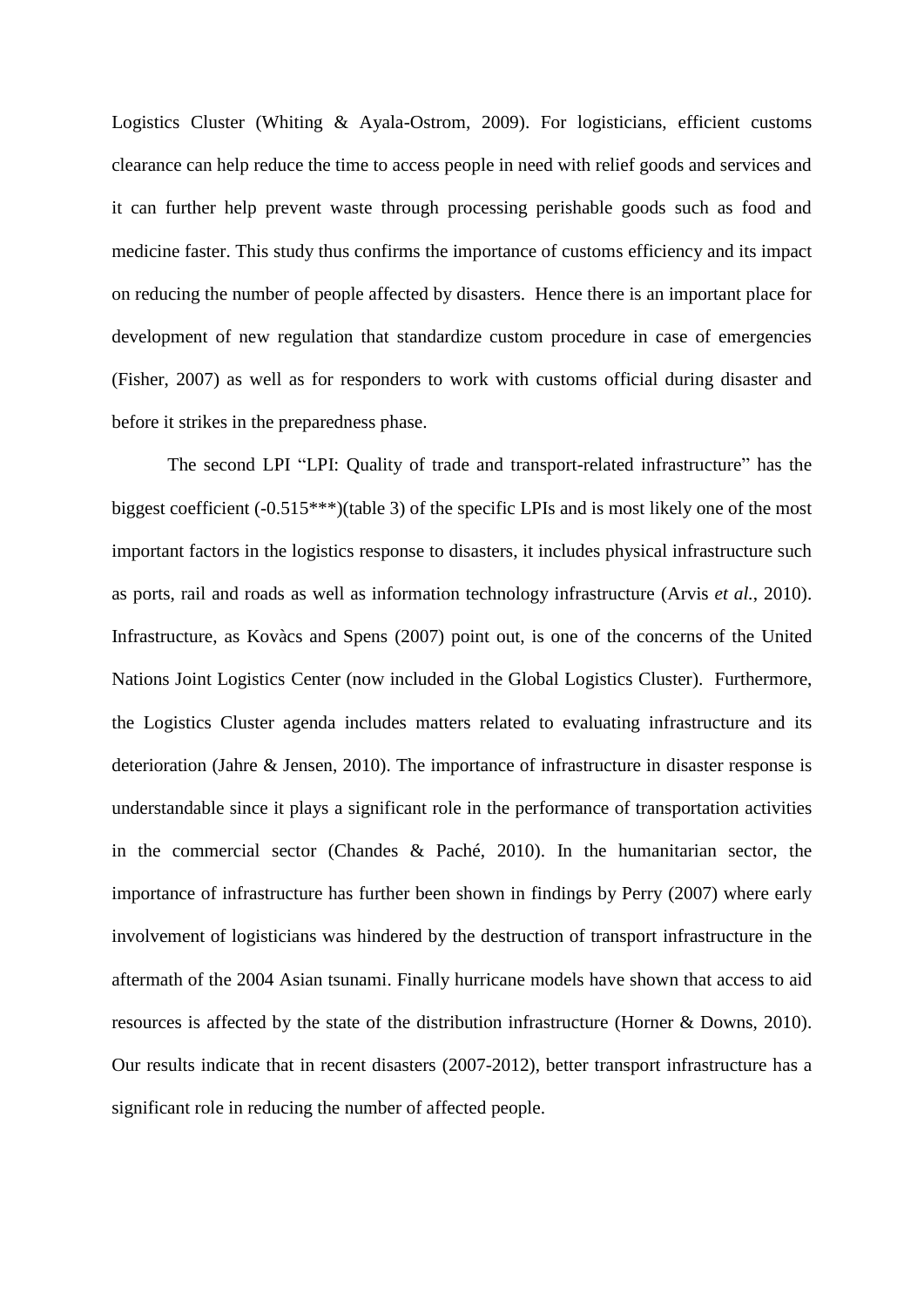Logistics Cluster (Whiting & Ayala-Ostrom, 2009). For logisticians, efficient customs clearance can help reduce the time to access people in need with relief goods and services and it can further help prevent waste through processing perishable goods such as food and medicine faster. This study thus confirms the importance of customs efficiency and its impact on reducing the number of people affected by disasters. Hence there is an important place for development of new regulation that standardize custom procedure in case of emergencies (Fisher, 2007) as well as for responders to work with customs official during disaster and before it strikes in the preparedness phase.

The second LPI "LPI: Quality of trade and transport-related infrastructure" has the biggest coefficient (-0.515\*\*\*)(table 3) of the specific LPIs and is most likely one of the most important factors in the logistics response to disasters, it includes physical infrastructure such as ports, rail and roads as well as information technology infrastructure (Arvis *et al.*, 2010). Infrastructure, as Kovàcs and Spens (2007) point out, is one of the concerns of the United Nations Joint Logistics Center (now included in the Global Logistics Cluster). Furthermore, the Logistics Cluster agenda includes matters related to evaluating infrastructure and its deterioration (Jahre & Jensen, 2010). The importance of infrastructure in disaster response is understandable since it plays a significant role in the performance of transportation activities in the commercial sector (Chandes & Paché, 2010). In the humanitarian sector, the importance of infrastructure has further been shown in findings by Perry (2007) where early involvement of logisticians was hindered by the destruction of transport infrastructure in the aftermath of the 2004 Asian tsunami. Finally hurricane models have shown that access to aid resources is affected by the state of the distribution infrastructure (Horner & Downs, 2010). Our results indicate that in recent disasters (2007-2012), better transport infrastructure has a significant role in reducing the number of affected people.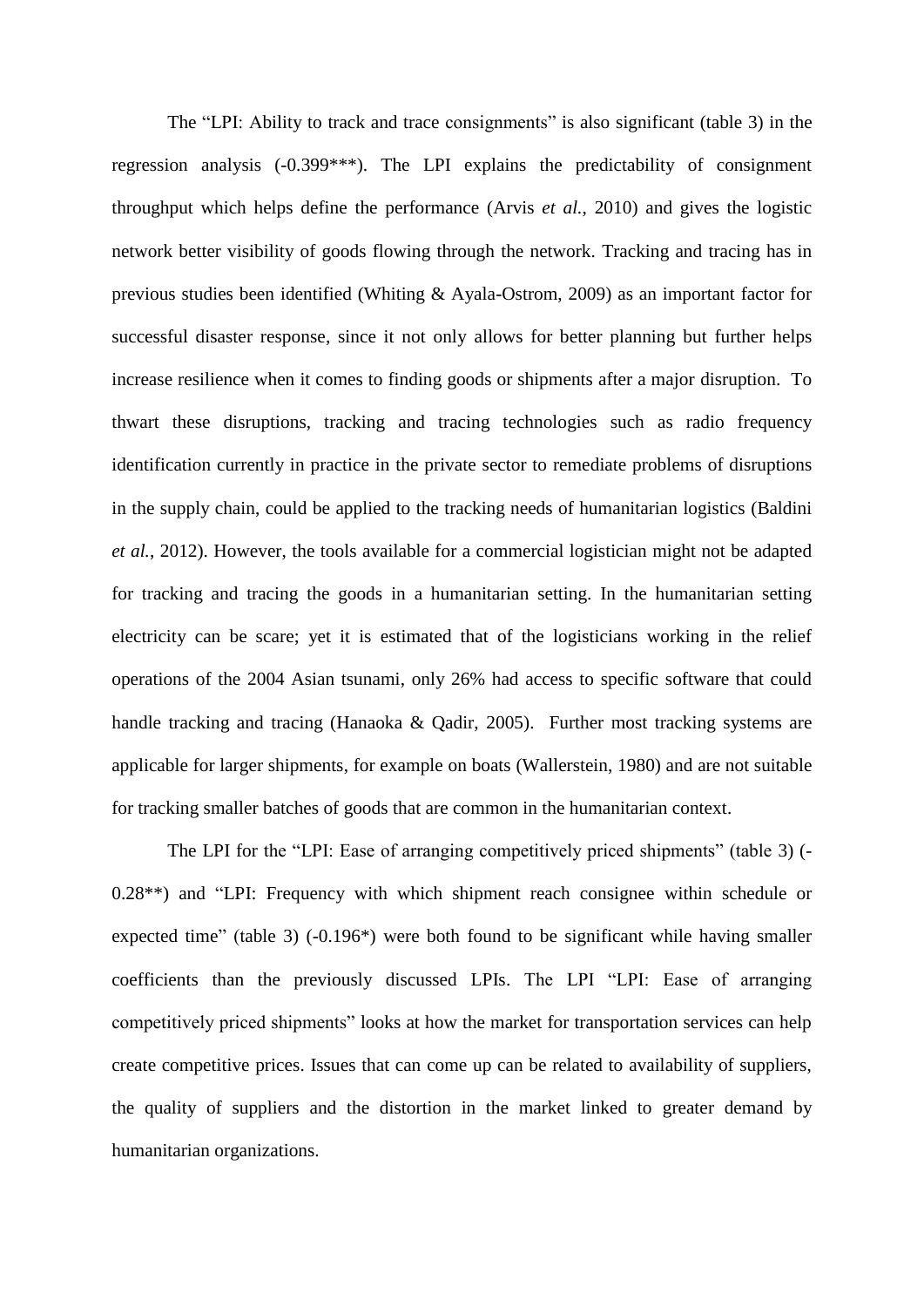The "LPI: Ability to track and trace consignments" is also significant (table 3) in the regression analysis (-0.399\*\*\*). The LPI explains the predictability of consignment throughput which helps define the performance (Arvis *et al.*, 2010) and gives the logistic network better visibility of goods flowing through the network. Tracking and tracing has in previous studies been identified (Whiting & Ayala-Ostrom, 2009) as an important factor for successful disaster response, since it not only allows for better planning but further helps increase resilience when it comes to finding goods or shipments after a major disruption. To thwart these disruptions, tracking and tracing technologies such as radio frequency identification currently in practice in the private sector to remediate problems of disruptions in the supply chain, could be applied to the tracking needs of humanitarian logistics (Baldini *et al.*, 2012). However, the tools available for a commercial logistician might not be adapted for tracking and tracing the goods in a humanitarian setting. In the humanitarian setting electricity can be scare; yet it is estimated that of the logisticians working in the relief operations of the 2004 Asian tsunami, only 26% had access to specific software that could handle tracking and tracing (Hanaoka & Oadir, 2005). Further most tracking systems are applicable for larger shipments, for example on boats (Wallerstein, 1980) and are not suitable for tracking smaller batches of goods that are common in the humanitarian context.

The LPI for the "LPI: Ease of arranging competitively priced shipments" (table 3) (- 0.28\*\*) and "LPI: Frequency with which shipment reach consignee within schedule or expected time" (table 3) (-0.196\*) were both found to be significant while having smaller coefficients than the previously discussed LPIs. The LPI "LPI: Ease of arranging competitively priced shipments" looks at how the market for transportation services can help create competitive prices. Issues that can come up can be related to availability of suppliers, the quality of suppliers and the distortion in the market linked to greater demand by humanitarian organizations.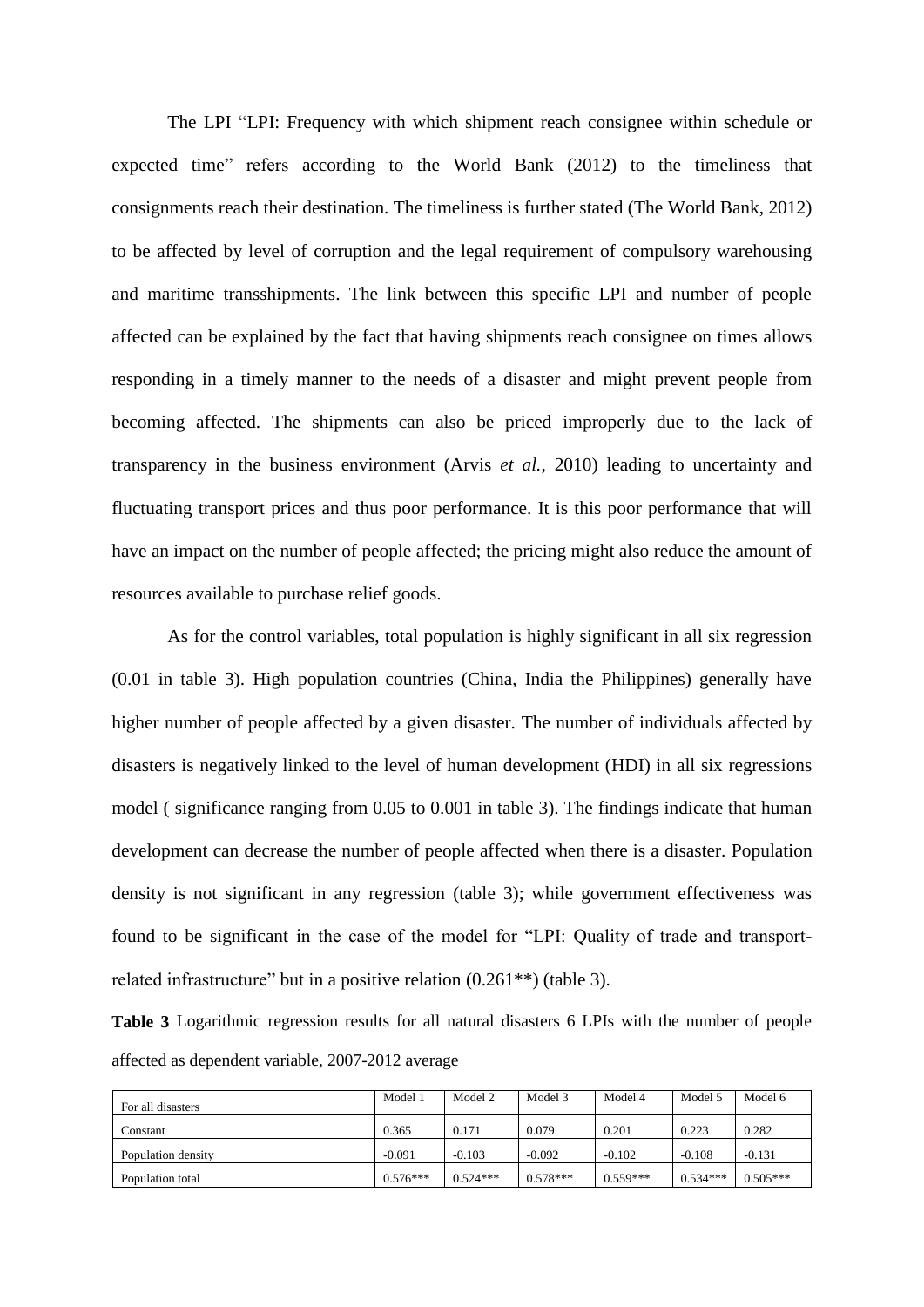The LPI "LPI: Frequency with which shipment reach consignee within schedule or expected time" refers according to the World Bank (2012) to the timeliness that consignments reach their destination. The timeliness is further stated (The World Bank, 2012) to be affected by level of corruption and the legal requirement of compulsory warehousing and maritime transshipments. The link between this specific LPI and number of people affected can be explained by the fact that having shipments reach consignee on times allows responding in a timely manner to the needs of a disaster and might prevent people from becoming affected. The shipments can also be priced improperly due to the lack of transparency in the business environment (Arvis *et al.*, 2010) leading to uncertainty and fluctuating transport prices and thus poor performance. It is this poor performance that will have an impact on the number of people affected; the pricing might also reduce the amount of resources available to purchase relief goods.

As for the control variables, total population is highly significant in all six regression (0.01 in table 3). High population countries (China, India the Philippines) generally have higher number of people affected by a given disaster. The number of individuals affected by disasters is negatively linked to the level of human development (HDI) in all six regressions model ( significance ranging from 0.05 to 0.001 in table 3). The findings indicate that human development can decrease the number of people affected when there is a disaster. Population density is not significant in any regression (table 3); while government effectiveness was found to be significant in the case of the model for "LPI: Quality of trade and transportrelated infrastructure" but in a positive relation (0.261\*\*) (table 3).

**Table 3** Logarithmic regression results for all natural disasters 6 LPIs with the number of people affected as dependent variable, 2007-2012 average

| For all disasters  | Model 1    | Model 2    | Model 3    | Model 4    | Model 5    | Model 6    |
|--------------------|------------|------------|------------|------------|------------|------------|
| Constant           | 0.365      | 0.171      | 0.079      | 0.201      | 0.223      | 0.282      |
| Population density | $-0.091$   | $-0.103$   | $-0.092$   | $-0.102$   | $-0.108$   | $-0.131$   |
| Population total   | $0.576***$ | $0.524***$ | $0.578***$ | $0.559***$ | $0.534***$ | $0.505***$ |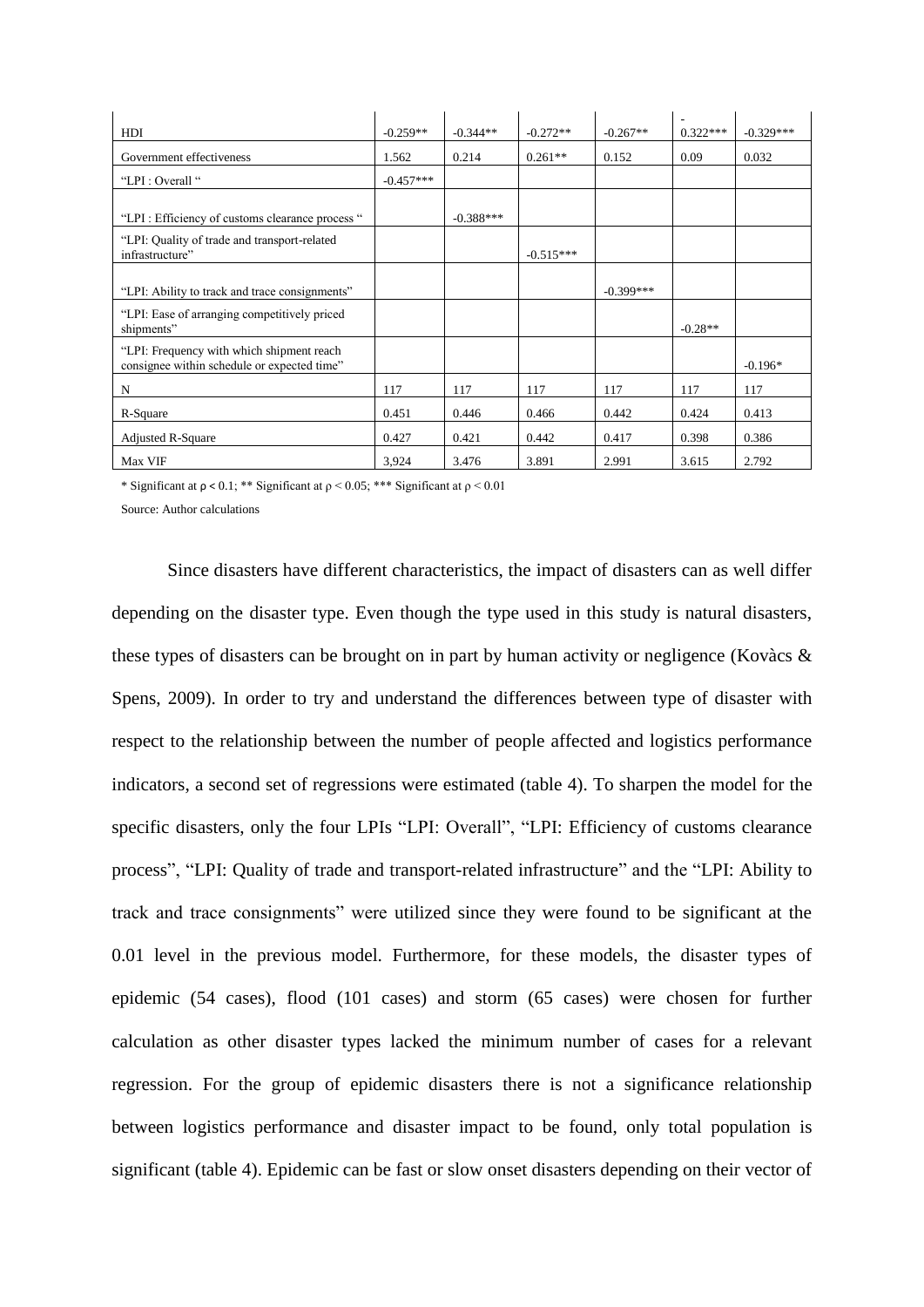| HDI                                                                                      | $-0.259**$  | $-0.344**$  | $-0.272**$  | $-0.267**$  | ٠<br>$0.322***$ | $-0.329***$ |
|------------------------------------------------------------------------------------------|-------------|-------------|-------------|-------------|-----------------|-------------|
|                                                                                          |             |             |             |             |                 |             |
| Government effectiveness                                                                 | 1.562       | 0.214       | $0.261**$   | 0.152       | 0.09            | 0.032       |
| "LPI : Overall"                                                                          | $-0.457***$ |             |             |             |                 |             |
| "LPI: Efficiency of customs clearance process"                                           |             | $-0.388***$ |             |             |                 |             |
| "LPI: Quality of trade and transport-related<br>infrastructure"                          |             |             | $-0.515***$ |             |                 |             |
|                                                                                          |             |             |             |             |                 |             |
| "LPI: Ability to track and trace consignments"                                           |             |             |             | $-0.399***$ |                 |             |
| "LPI: Ease of arranging competitively priced<br>shipments"                               |             |             |             |             | $-0.28**$       |             |
| "LPI: Frequency with which shipment reach<br>consignee within schedule or expected time" |             |             |             |             |                 | $-0.196*$   |
| N                                                                                        | 117         | 117         | 117         | 117         | 117             | 117         |
| R-Square                                                                                 | 0.451       | 0.446       | 0.466       | 0.442       | 0.424           | 0.413       |
| <b>Adjusted R-Square</b>                                                                 | 0.427       | 0.421       | 0.442       | 0.417       | 0.398           | 0.386       |
| Max VIF                                                                                  | 3.924       | 3.476       | 3.891       | 2.991       | 3.615           | 2.792       |

\* Significant at  $\rho < 0.1$ ; \*\* Significant at  $\rho < 0.05$ ; \*\*\* Significant at  $\rho < 0.01$ 

Source: Author calculations

Since disasters have different characteristics, the impact of disasters can as well differ depending on the disaster type. Even though the type used in this study is natural disasters, these types of disasters can be brought on in part by human activity or negligence (Kovàcs & Spens, 2009). In order to try and understand the differences between type of disaster with respect to the relationship between the number of people affected and logistics performance indicators, a second set of regressions were estimated (table 4). To sharpen the model for the specific disasters, only the four LPIs "LPI: Overall", "LPI: Efficiency of customs clearance process", "LPI: Quality of trade and transport-related infrastructure" and the "LPI: Ability to track and trace consignments" were utilized since they were found to be significant at the 0.01 level in the previous model. Furthermore, for these models, the disaster types of epidemic (54 cases), flood (101 cases) and storm (65 cases) were chosen for further calculation as other disaster types lacked the minimum number of cases for a relevant regression. For the group of epidemic disasters there is not a significance relationship between logistics performance and disaster impact to be found, only total population is significant (table 4). Epidemic can be fast or slow onset disasters depending on their vector of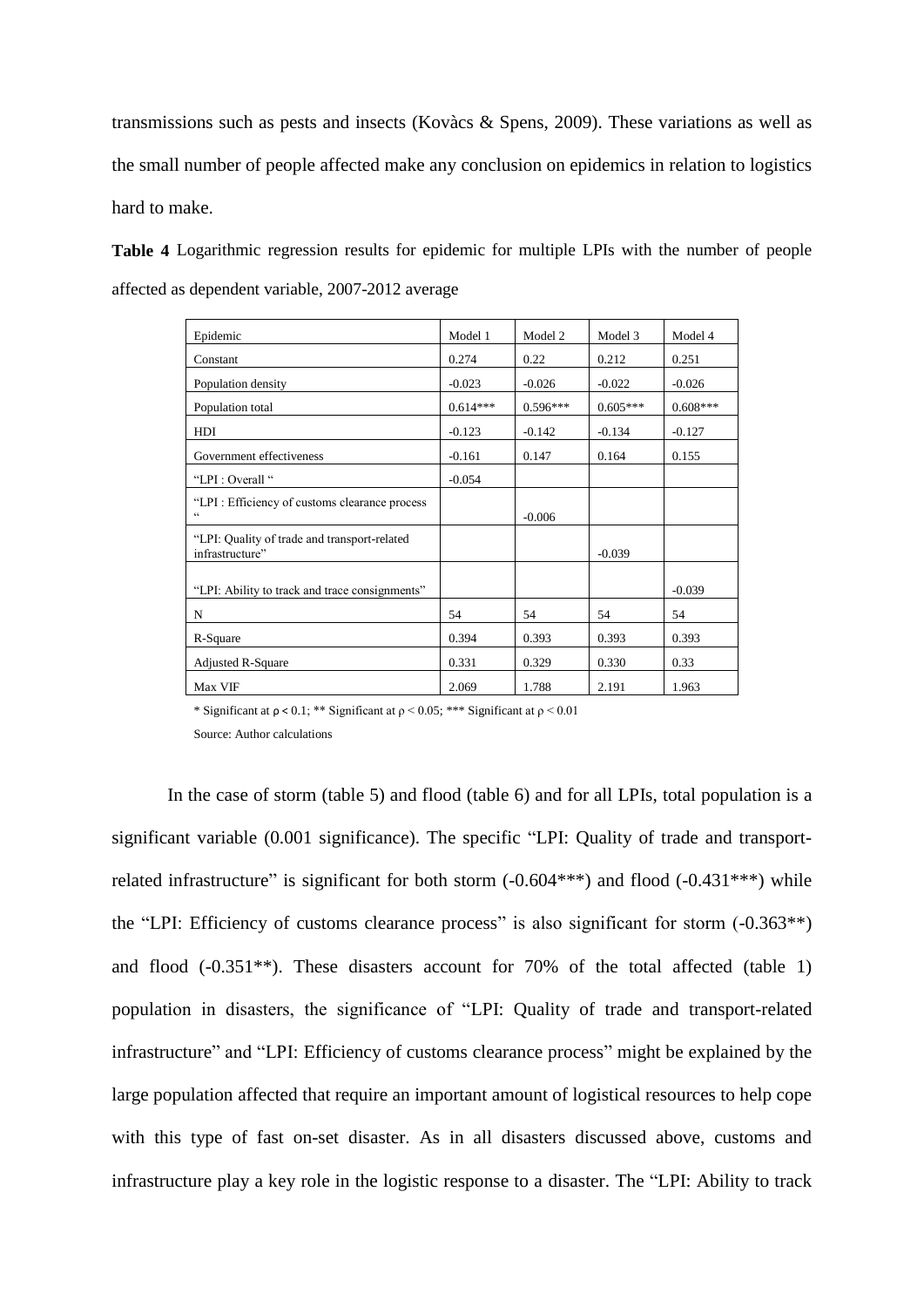transmissions such as pests and insects (Kovàcs & Spens, 2009). These variations as well as the small number of people affected make any conclusion on epidemics in relation to logistics hard to make.

**Table 4** Logarithmic regression results for epidemic for multiple LPIs with the number of people affected as dependent variable, 2007-2012 average

| Epidemic                                                        | Model 1    | Model 2    | Model 3    | Model 4    |
|-----------------------------------------------------------------|------------|------------|------------|------------|
| Constant                                                        | 0.274      | 0.22       | 0.212      | 0.251      |
| Population density                                              | $-0.023$   | $-0.026$   | $-0.022$   | $-0.026$   |
| Population total                                                | $0.614***$ | $0.596***$ | $0.605***$ | $0.608***$ |
| HDI                                                             | $-0.123$   | $-0.142$   | $-0.134$   | $-0.127$   |
| Government effectiveness                                        | $-0.161$   | 0.147      | 0.164      | 0.155      |
| "LPI : Overall "                                                | $-0.054$   |            |            |            |
| "LPI: Efficiency of customs clearance process"<br>$\epsilon$    |            | $-0.006$   |            |            |
| "LPI: Quality of trade and transport-related<br>infrastructure" |            |            | $-0.039$   |            |
| "LPI: Ability to track and trace consignments"                  |            |            |            | $-0.039$   |
| $\mathbf N$                                                     | 54         | 54         | 54         | 54         |
| R-Square                                                        | 0.394      | 0.393      | 0.393      | 0.393      |
| <b>Adjusted R-Square</b>                                        | 0.331      | 0.329      | 0.330      | 0.33       |
| Max VIF                                                         | 2.069      | 1.788      | 2.191      | 1.963      |

\* Significant at  $\rho < 0.1$ ; \*\* Significant at  $\rho < 0.05$ ; \*\*\* Significant at  $\rho < 0.01$ 

Source: Author calculations

In the case of storm (table 5) and flood (table 6) and for all LPIs, total population is a significant variable (0.001 significance). The specific "LPI: Quality of trade and transportrelated infrastructure" is significant for both storm  $(-0.604***)$  and flood  $(-0.431***)$  while the "LPI: Efficiency of customs clearance process" is also significant for storm  $(-0.363**)$ and flood (-0.351\*\*). These disasters account for 70% of the total affected (table 1) population in disasters, the significance of "LPI: Quality of trade and transport-related infrastructure" and "LPI: Efficiency of customs clearance process" might be explained by the large population affected that require an important amount of logistical resources to help cope with this type of fast on-set disaster. As in all disasters discussed above, customs and infrastructure play a key role in the logistic response to a disaster. The "LPI: Ability to track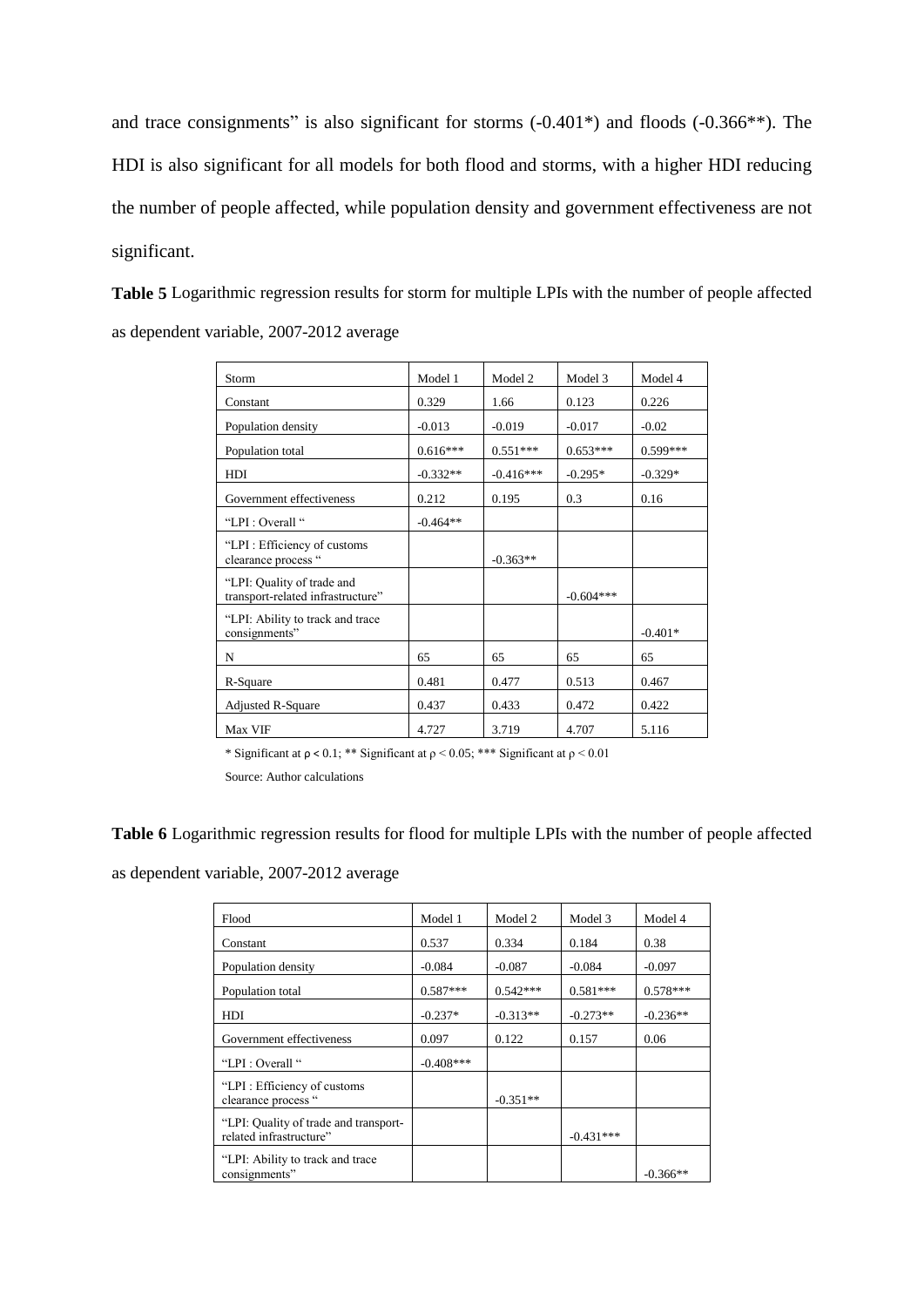and trace consignments" is also significant for storms (-0.401\*) and floods (-0.366\*\*). The HDI is also significant for all models for both flood and storms, with a higher HDI reducing the number of people affected, while population density and government effectiveness are not significant.

**Table 5** Logarithmic regression results for storm for multiple LPIs with the number of people affected as dependent variable, 2007-2012 average

| Storm                                                           | Model 1    | Model 2     | Model 3     | Model 4    |
|-----------------------------------------------------------------|------------|-------------|-------------|------------|
| Constant                                                        | 0.329      | 1.66        | 0.123       | 0.226      |
| Population density                                              | $-0.013$   | $-0.019$    | $-0.017$    | $-0.02$    |
| Population total                                                | $0.616***$ | $0.551***$  | $0.653***$  | $0.599***$ |
| HDI                                                             | $-0.332**$ | $-0.416***$ | $-0.295*$   | $-0.329*$  |
| Government effectiveness                                        | 0.212      | 0.195       | 0.3         | 0.16       |
| "LPI : Overall "                                                | $-0.464**$ |             |             |            |
| "LPI: Efficiency of customs<br>clearance process "              |            | $-0.363**$  |             |            |
| "LPI: Quality of trade and<br>transport-related infrastructure" |            |             | $-0.604***$ |            |
| "LPI: Ability to track and trace"<br>consignments"              |            |             |             | $-0.401*$  |
| N                                                               | 65         | 65          | 65          | 65         |
| R-Square                                                        | 0.481      | 0.477       | 0.513       | 0.467      |
| Adjusted R-Square                                               | 0.437      | 0.433       | 0.472       | 0.422      |
| Max VIF                                                         | 4.727      | 3.719       | 4.707       | 5.116      |

\* Significant at  $\rho$  < 0.1; \*\* Significant at  $\rho$  < 0.05; \*\*\* Significant at  $\rho$  < 0.01

Source: Author calculations

**Table 6** Logarithmic regression results for flood for multiple LPIs with the number of people affected

as dependent variable, 2007-2012 average

| Flood                                                            | Model 1     | Model 2    | Model 3     | Model 4    |
|------------------------------------------------------------------|-------------|------------|-------------|------------|
| Constant                                                         | 0.537       | 0.334      | 0.184       | 0.38       |
| Population density                                               | $-0.084$    | $-0.087$   | $-0.084$    | $-0.097$   |
| Population total                                                 | $0.587***$  | $0.542***$ | $0.581***$  | $0.578***$ |
| HDI                                                              | $-0.237*$   | $-0.313**$ | $-0.273**$  | $-0.236**$ |
| Government effectiveness                                         | 0.097       | 0.122      | 0.157       | 0.06       |
| "LPI : Overall "                                                 | $-0.408***$ |            |             |            |
| "LPI: Efficiency of customs"<br>clearance process "              |             | $-0.351**$ |             |            |
| "LPI: Quality of trade and transport-<br>related infrastructure" |             |            | $-0.431***$ |            |
| "LPI: Ability to track and trace"<br>consignments"               |             |            |             | $-0.366**$ |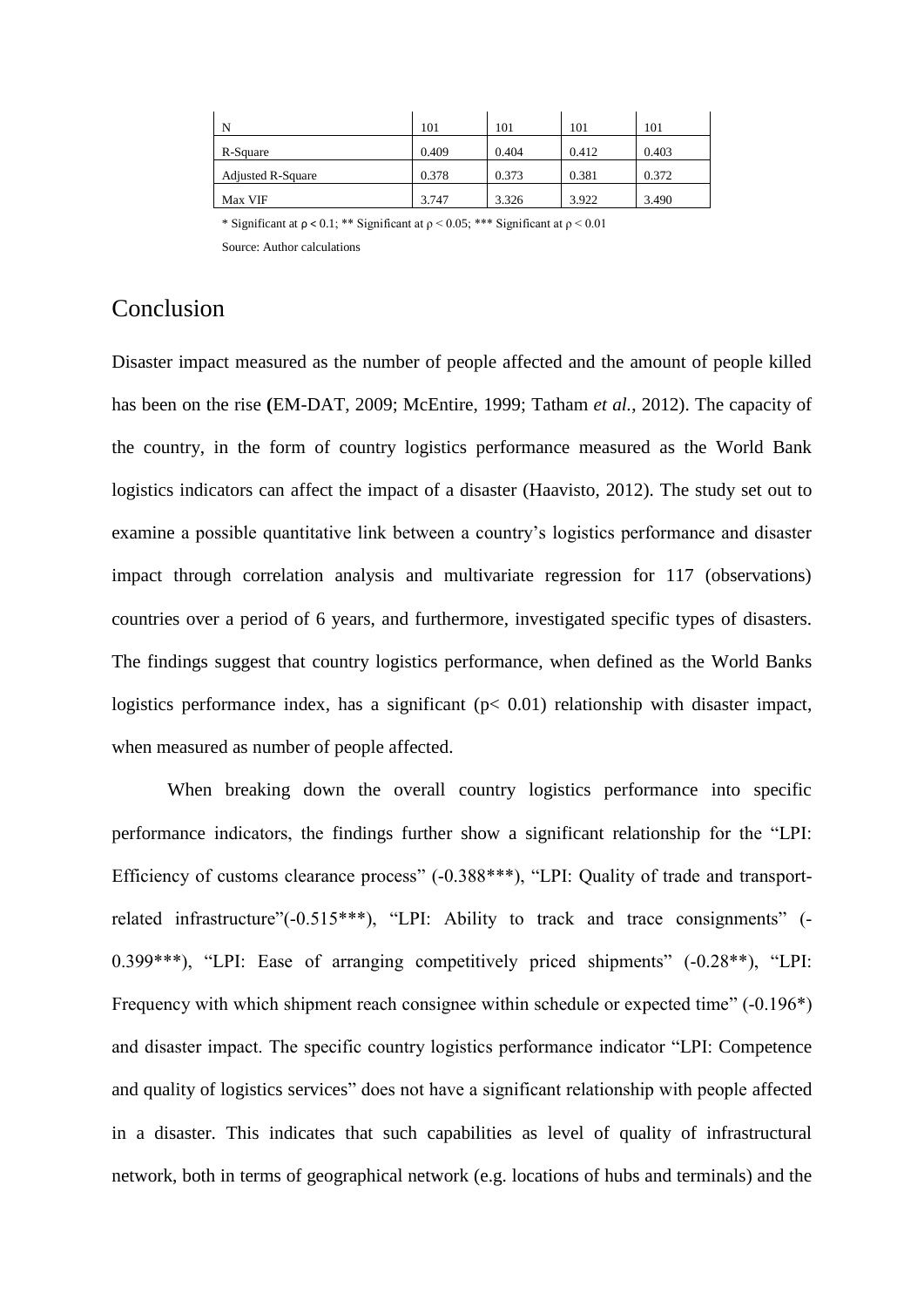| N                        | 101   | 101   | 101   | 101   |
|--------------------------|-------|-------|-------|-------|
| R-Square                 | 0.409 | 0.404 | 0.412 | 0.403 |
| <b>Adjusted R-Square</b> | 0.378 | 0.373 | 0.381 | 0.372 |
| Max VIF                  | 3.747 | 3.326 | 3.922 | 3.490 |

\* Significant at  $\rho$  < 0.1; \*\* Significant at  $\rho$  < 0.05; \*\*\* Significant at  $\rho$  < 0.01 Source: Author calculations

# Conclusion

Disaster impact measured as the number of people affected and the amount of people killed has been on the rise **(**EM-DAT, 2009; McEntire, 1999; Tatham *et al.*, 2012). The capacity of the country, in the form of country logistics performance measured as the World Bank logistics indicators can affect the impact of a disaster (Haavisto, 2012). The study set out to examine a possible quantitative link between a country's logistics performance and disaster impact through correlation analysis and multivariate regression for 117 (observations) countries over a period of 6 years, and furthermore, investigated specific types of disasters. The findings suggest that country logistics performance, when defined as the World Banks logistics performance index, has a significant  $(p< 0.01)$  relationship with disaster impact, when measured as number of people affected.

When breaking down the overall country logistics performance into specific performance indicators, the findings further show a significant relationship for the "LPI: Efficiency of customs clearance process" (-0.388\*\*\*), "LPI: Quality of trade and transportrelated infrastructure"(-0.515\*\*\*), "LPI: Ability to track and trace consignments" (-0.399\*\*\*), "LPI: Ease of arranging competitively priced shipments" (-0.28\*\*), "LPI: Frequency with which shipment reach consignee within schedule or expected time" (-0.196\*) and disaster impact. The specific country logistics performance indicator "LPI: Competence and quality of logistics services" does not have a significant relationship with people affected in a disaster. This indicates that such capabilities as level of quality of infrastructural network, both in terms of geographical network (e.g. locations of hubs and terminals) and the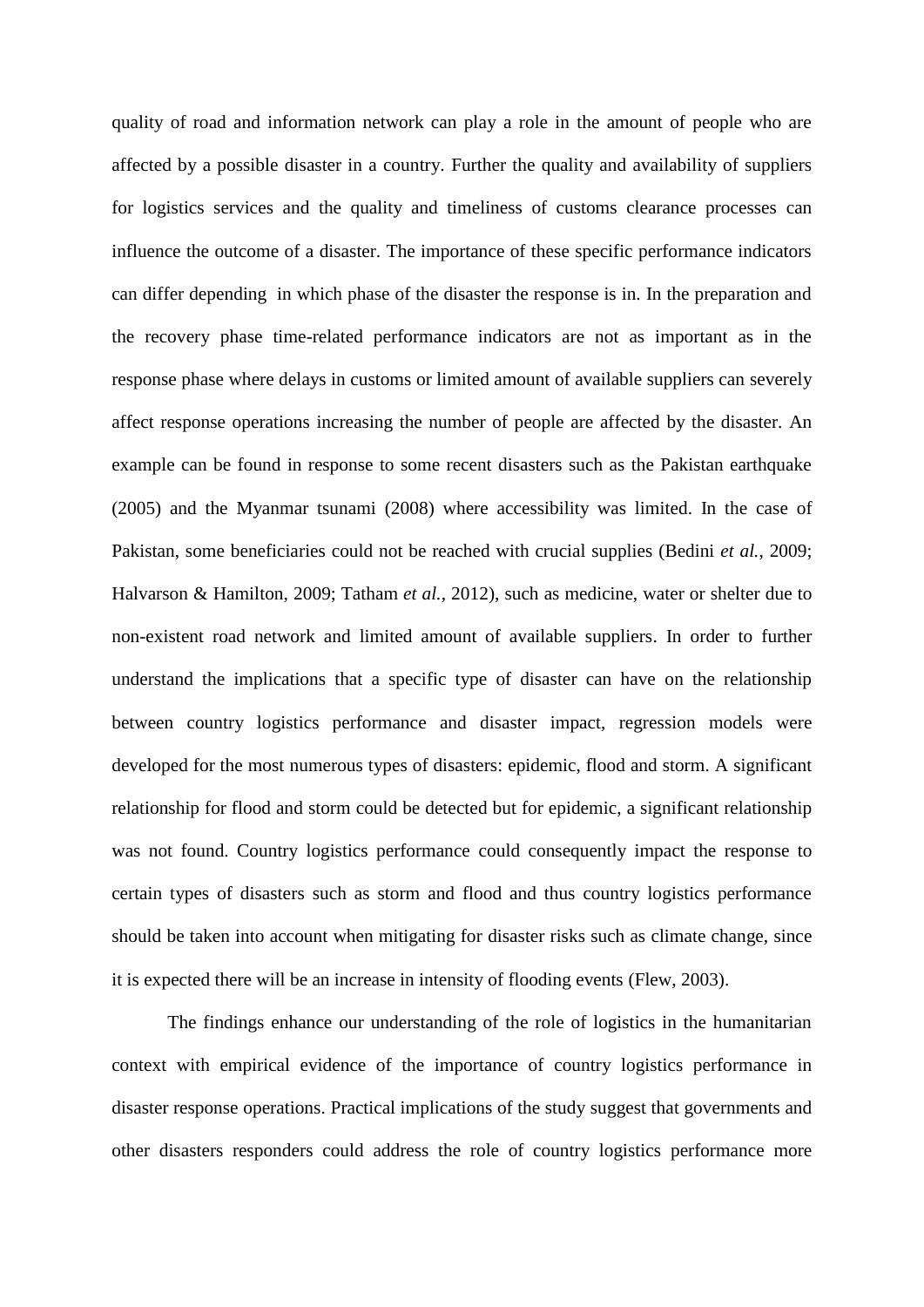quality of road and information network can play a role in the amount of people who are affected by a possible disaster in a country. Further the quality and availability of suppliers for logistics services and the quality and timeliness of customs clearance processes can influence the outcome of a disaster. The importance of these specific performance indicators can differ depending in which phase of the disaster the response is in. In the preparation and the recovery phase time-related performance indicators are not as important as in the response phase where delays in customs or limited amount of available suppliers can severely affect response operations increasing the number of people are affected by the disaster. An example can be found in response to some recent disasters such as the Pakistan earthquake (2005) and the Myanmar tsunami (2008) where accessibility was limited. In the case of Pakistan, some beneficiaries could not be reached with crucial supplies (Bedini *et al.*, 2009; Halvarson & Hamilton, 2009; Tatham *et al.*, 2012), such as medicine, water or shelter due to non-existent road network and limited amount of available suppliers. In order to further understand the implications that a specific type of disaster can have on the relationship between country logistics performance and disaster impact, regression models were developed for the most numerous types of disasters: epidemic, flood and storm. A significant relationship for flood and storm could be detected but for epidemic, a significant relationship was not found. Country logistics performance could consequently impact the response to certain types of disasters such as storm and flood and thus country logistics performance should be taken into account when mitigating for disaster risks such as climate change, since it is expected there will be an increase in intensity of flooding events (Flew, 2003).

The findings enhance our understanding of the role of logistics in the humanitarian context with empirical evidence of the importance of country logistics performance in disaster response operations. Practical implications of the study suggest that governments and other disasters responders could address the role of country logistics performance more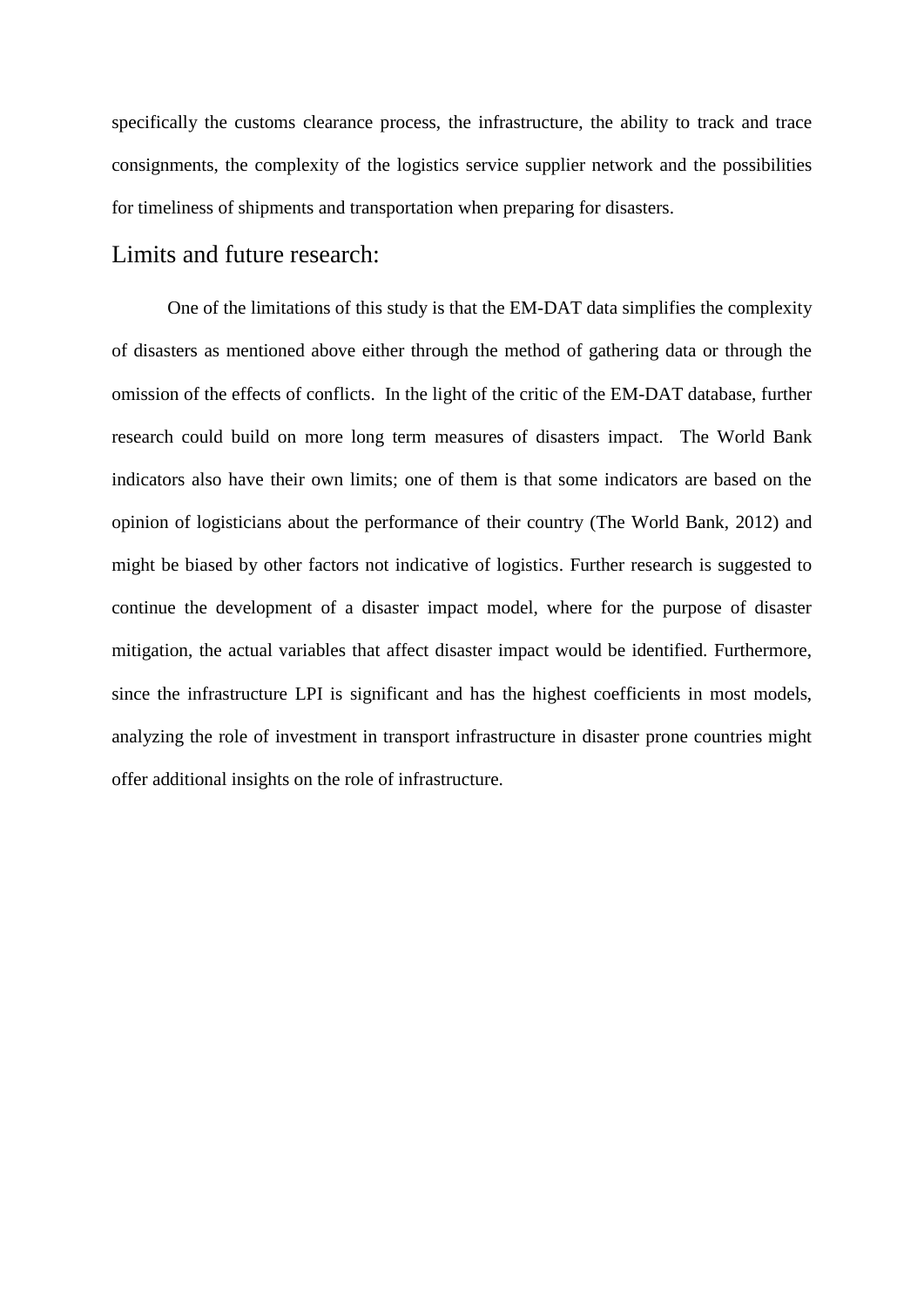specifically the customs clearance process, the infrastructure, the ability to track and trace consignments, the complexity of the logistics service supplier network and the possibilities for timeliness of shipments and transportation when preparing for disasters.

## Limits and future research:

One of the limitations of this study is that the EM-DAT data simplifies the complexity of disasters as mentioned above either through the method of gathering data or through the omission of the effects of conflicts. In the light of the critic of the EM-DAT database, further research could build on more long term measures of disasters impact. The World Bank indicators also have their own limits; one of them is that some indicators are based on the opinion of logisticians about the performance of their country (The World Bank, 2012) and might be biased by other factors not indicative of logistics. Further research is suggested to continue the development of a disaster impact model, where for the purpose of disaster mitigation, the actual variables that affect disaster impact would be identified. Furthermore, since the infrastructure LPI is significant and has the highest coefficients in most models, analyzing the role of investment in transport infrastructure in disaster prone countries might offer additional insights on the role of infrastructure.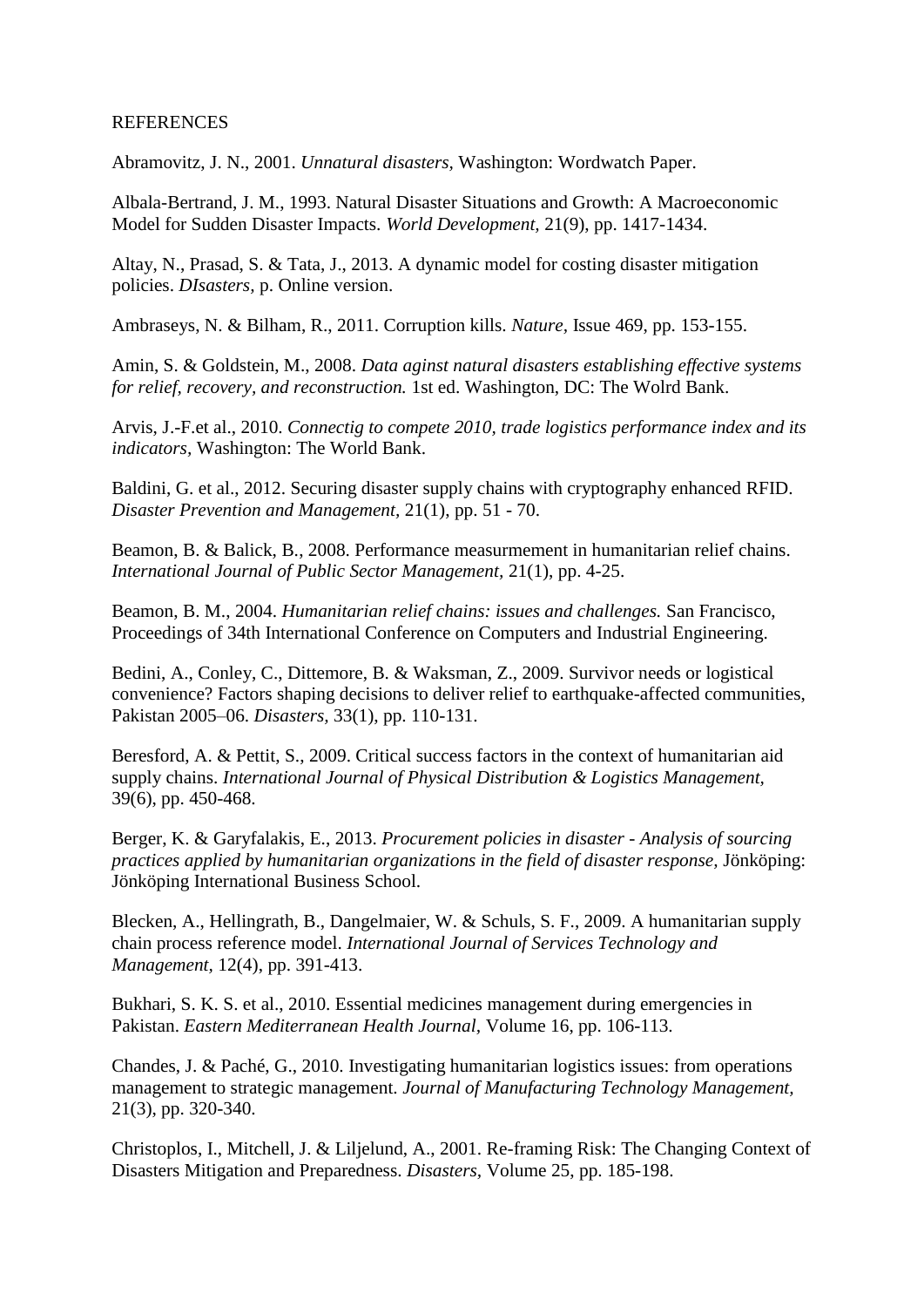#### REFERENCES

Abramovitz, J. N., 2001. *Unnatural disasters,* Washington: Wordwatch Paper.

Albala-Bertrand, J. M., 1993. Natural Disaster Situations and Growth: A Macroeconomic Model for Sudden Disaster Impacts. *World Development,* 21(9), pp. 1417-1434.

Altay, N., Prasad, S. & Tata, J., 2013. A dynamic model for costing disaster mitigation policies. *DIsasters,* p. Online version.

Ambraseys, N. & Bilham, R., 2011. Corruption kills. *Nature,* Issue 469, pp. 153-155.

Amin, S. & Goldstein, M., 2008. *Data aginst natural disasters establishing effective systems for relief, recovery, and reconstruction.* 1st ed. Washington, DC: The Wolrd Bank.

Arvis, J.-F.et al., 2010. *Connectig to compete 2010, trade logistics performance index and its indicators,* Washington: The World Bank.

Baldini, G. et al., 2012. Securing disaster supply chains with cryptography enhanced RFID. *Disaster Prevention and Management,* 21(1), pp. 51 - 70.

Beamon, B. & Balick, B., 2008. Performance measurmement in humanitarian relief chains. *International Journal of Public Sector Management,* 21(1), pp. 4-25.

Beamon, B. M., 2004. *Humanitarian relief chains: issues and challenges.* San Francisco, Proceedings of 34th International Conference on Computers and Industrial Engineering.

Bedini, A., Conley, C., Dittemore, B. & Waksman, Z., 2009. Survivor needs or logistical convenience? Factors shaping decisions to deliver relief to earthquake-affected communities, Pakistan 2005–06. *Disasters,* 33(1), pp. 110-131.

Beresford, A. & Pettit, S., 2009. Critical success factors in the context of humanitarian aid supply chains. *International Journal of Physical Distribution & Logistics Management,*  39(6), pp. 450-468.

Berger, K. & Garyfalakis, E., 2013. *Procurement policies in disaster - Analysis of sourcing practices applied by humanitarian organizations in the field of disaster response,* Jönköping: Jönköping International Business School.

Blecken, A., Hellingrath, B., Dangelmaier, W. & Schuls, S. F., 2009. A humanitarian supply chain process reference model. *International Journal of Services Technology and Management,* 12(4), pp. 391-413.

Bukhari, S. K. S. et al., 2010. Essential medicines management during emergencies in Pakistan. *Eastern Mediterranean Health Journal,* Volume 16, pp. 106-113.

Chandes, J. & Paché, G., 2010. Investigating humanitarian logistics issues: from operations management to strategic management. *Journal of Manufacturing Technology Management,*  21(3), pp. 320-340.

Christoplos, I., Mitchell, J. & Liljelund, A., 2001. Re-framing Risk: The Changing Context of Disasters Mitigation and Preparedness. *Disasters,* Volume 25, pp. 185-198.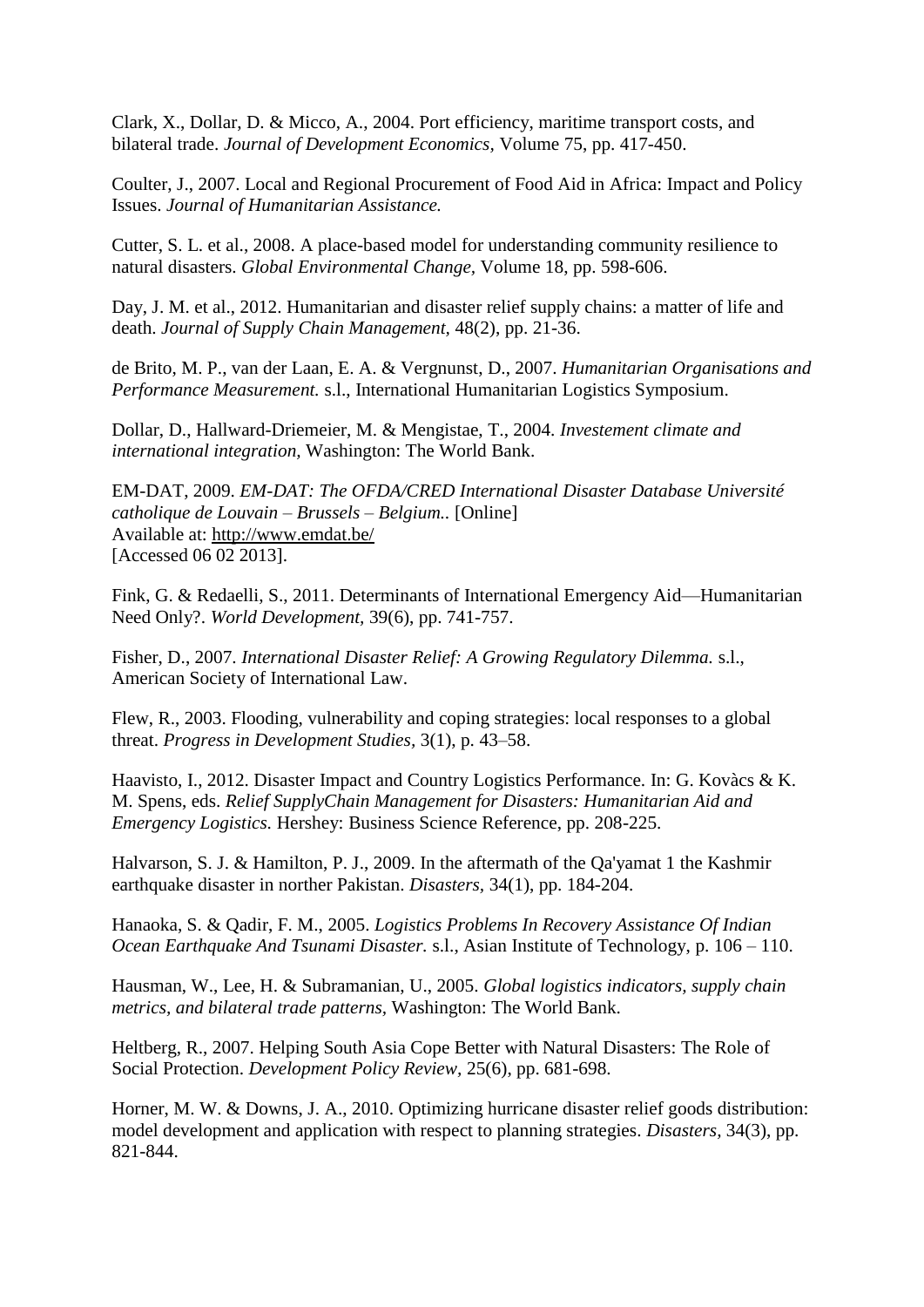Clark, X., Dollar, D. & Micco, A., 2004. Port efficiency, maritime transport costs, and bilateral trade. *Journal of Development Economics,* Volume 75, pp. 417-450.

Coulter, J., 2007. Local and Regional Procurement of Food Aid in Africa: Impact and Policy Issues. *Journal of Humanitarian Assistance.*

Cutter, S. L. et al., 2008. A place-based model for understanding community resilience to natural disasters. *Global Environmental Change,* Volume 18, pp. 598-606.

Day, J. M. et al., 2012. Humanitarian and disaster relief supply chains: a matter of life and death. *Journal of Supply Chain Management,* 48(2), pp. 21-36.

de Brito, M. P., van der Laan, E. A. & Vergnunst, D., 2007. *Humanitarian Organisations and Performance Measurement.* s.l., International Humanitarian Logistics Symposium.

Dollar, D., Hallward-Driemeier, M. & Mengistae, T., 2004. *Investement climate and international integration,* Washington: The World Bank.

EM-DAT, 2009. *EM-DAT: The OFDA/CRED International Disaster Database Université catholique de Louvain – Brussels – Belgium..* [Online] Available at: http://www.emdat.be/ [Accessed 06 02 2013].

Fink, G. & Redaelli, S., 2011. Determinants of International Emergency Aid—Humanitarian Need Only?. *World Development,* 39(6), pp. 741-757.

Fisher, D., 2007. *International Disaster Relief: A Growing Regulatory Dilemma.* s.l., American Society of International Law.

Flew, R., 2003. Flooding, vulnerability and coping strategies: local responses to a global threat. *Progress in Development Studies,* 3(1), p. 43–58.

Haavisto, I., 2012. Disaster Impact and Country Logistics Performance. In: G. Kovàcs & K. M. Spens, eds. *Relief SupplyChain Management for Disasters: Humanitarian Aid and Emergency Logistics.* Hershey: Business Science Reference, pp. 208-225.

Halvarson, S. J. & Hamilton, P. J., 2009. In the aftermath of the Qa'yamat 1 the Kashmir earthquake disaster in norther Pakistan. *Disasters,* 34(1), pp. 184-204.

Hanaoka, S. & Qadir, F. M., 2005. *Logistics Problems In Recovery Assistance Of Indian Ocean Earthquake And Tsunami Disaster.* s.l., Asian Institute of Technology, p. 106 – 110.

Hausman, W., Lee, H. & Subramanian, U., 2005. *Global logistics indicators, supply chain metrics, and bilateral trade patterns,* Washington: The World Bank.

Heltberg, R., 2007. Helping South Asia Cope Better with Natural Disasters: The Role of Social Protection. *Development Policy Review,* 25(6), pp. 681-698.

Horner, M. W. & Downs, J. A., 2010. Optimizing hurricane disaster relief goods distribution: model development and application with respect to planning strategies. *Disasters,* 34(3), pp. 821-844.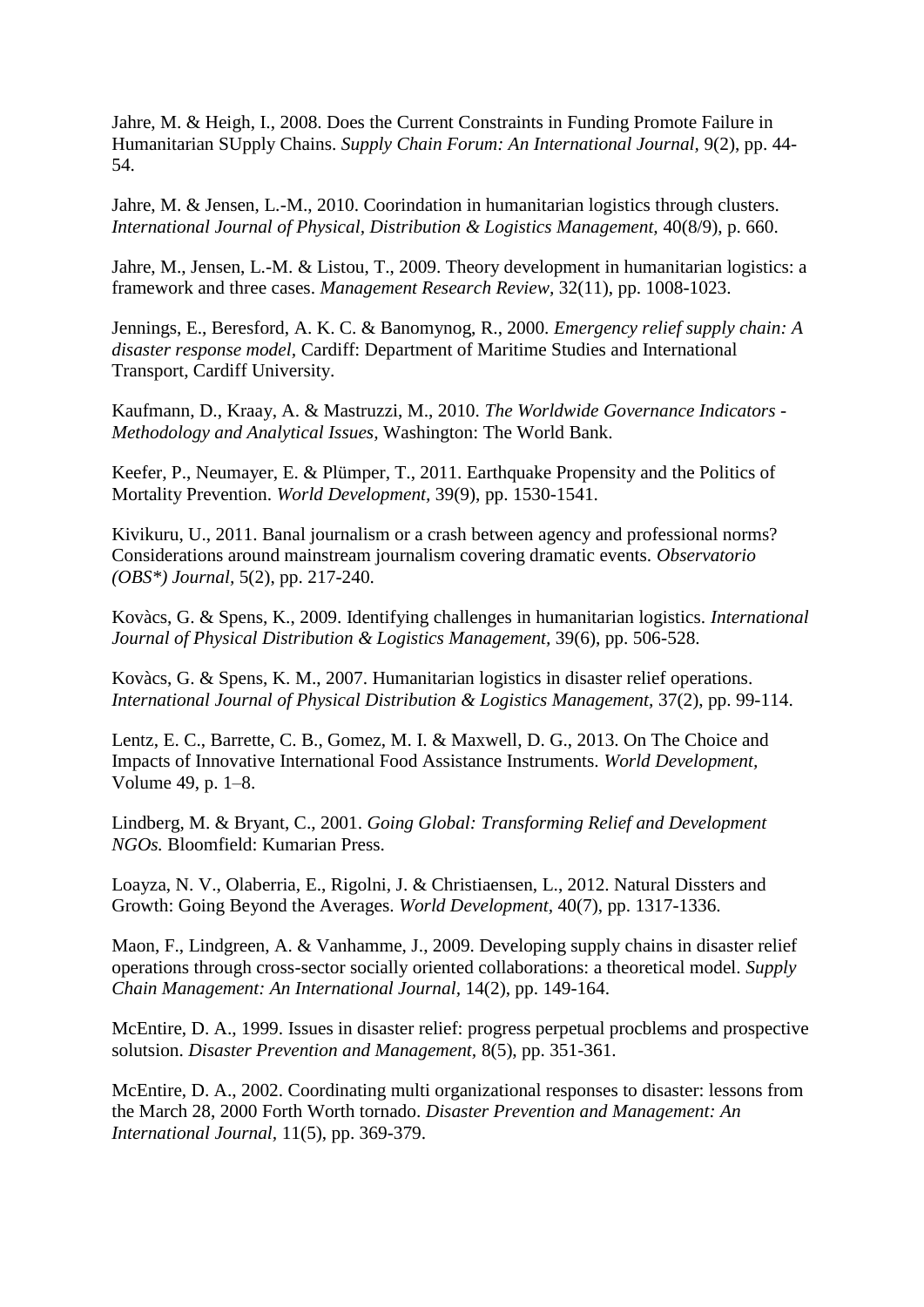Jahre, M. & Heigh, I., 2008. Does the Current Constraints in Funding Promote Failure in Humanitarian SUpply Chains. *Supply Chain Forum: An International Journal,* 9(2), pp. 44- 54.

Jahre, M. & Jensen, L.-M., 2010. Coorindation in humanitarian logistics through clusters. *International Journal of Physical, Distribution & Logistics Management,* 40(8/9), p. 660.

Jahre, M., Jensen, L.-M. & Listou, T., 2009. Theory development in humanitarian logistics: a framework and three cases. *Management Research Review,* 32(11), pp. 1008-1023.

Jennings, E., Beresford, A. K. C. & Banomynog, R., 2000. *Emergency relief supply chain: A disaster response model,* Cardiff: Department of Maritime Studies and International Transport, Cardiff University.

Kaufmann, D., Kraay, A. & Mastruzzi, M., 2010. *The Worldwide Governance Indicators - Methodology and Analytical Issues,* Washington: The World Bank.

Keefer, P., Neumayer, E. & Plümper, T., 2011. Earthquake Propensity and the Politics of Mortality Prevention. *World Development,* 39(9), pp. 1530-1541.

Kivikuru, U., 2011. Banal journalism or a crash between agency and professional norms? Considerations around mainstream journalism covering dramatic events. *Observatorio (OBS\*) Journal,* 5(2), pp. 217-240.

Kovàcs, G. & Spens, K., 2009. Identifying challenges in humanitarian logistics. *International Journal of Physical Distribution & Logistics Management,* 39(6), pp. 506-528.

Kovàcs, G. & Spens, K. M., 2007. Humanitarian logistics in disaster relief operations. *International Journal of Physical Distribution & Logistics Management,* 37(2), pp. 99-114.

Lentz, E. C., Barrette, C. B., Gomez, M. I. & Maxwell, D. G., 2013. On The Choice and Impacts of Innovative International Food Assistance Instruments. *World Development,*  Volume 49, p. 1–8.

Lindberg, M. & Bryant, C., 2001. *Going Global: Transforming Relief and Development NGOs.* Bloomfield: Kumarian Press.

Loayza, N. V., Olaberria, E., Rigolni, J. & Christiaensen, L., 2012. Natural Dissters and Growth: Going Beyond the Averages. *World Development,* 40(7), pp. 1317-1336.

Maon, F., Lindgreen, A. & Vanhamme, J., 2009. Developing supply chains in disaster relief operations through cross-sector socially oriented collaborations: a theoretical model. *Supply Chain Management: An International Journal,* 14(2), pp. 149-164.

McEntire, D. A., 1999. Issues in disaster relief: progress perpetual procblems and prospective solutsion. *Disaster Prevention and Management,* 8(5), pp. 351-361.

McEntire, D. A., 2002. Coordinating multi organizational responses to disaster: lessons from the March 28, 2000 Forth Worth tornado. *Disaster Prevention and Management: An International Journal,* 11(5), pp. 369-379.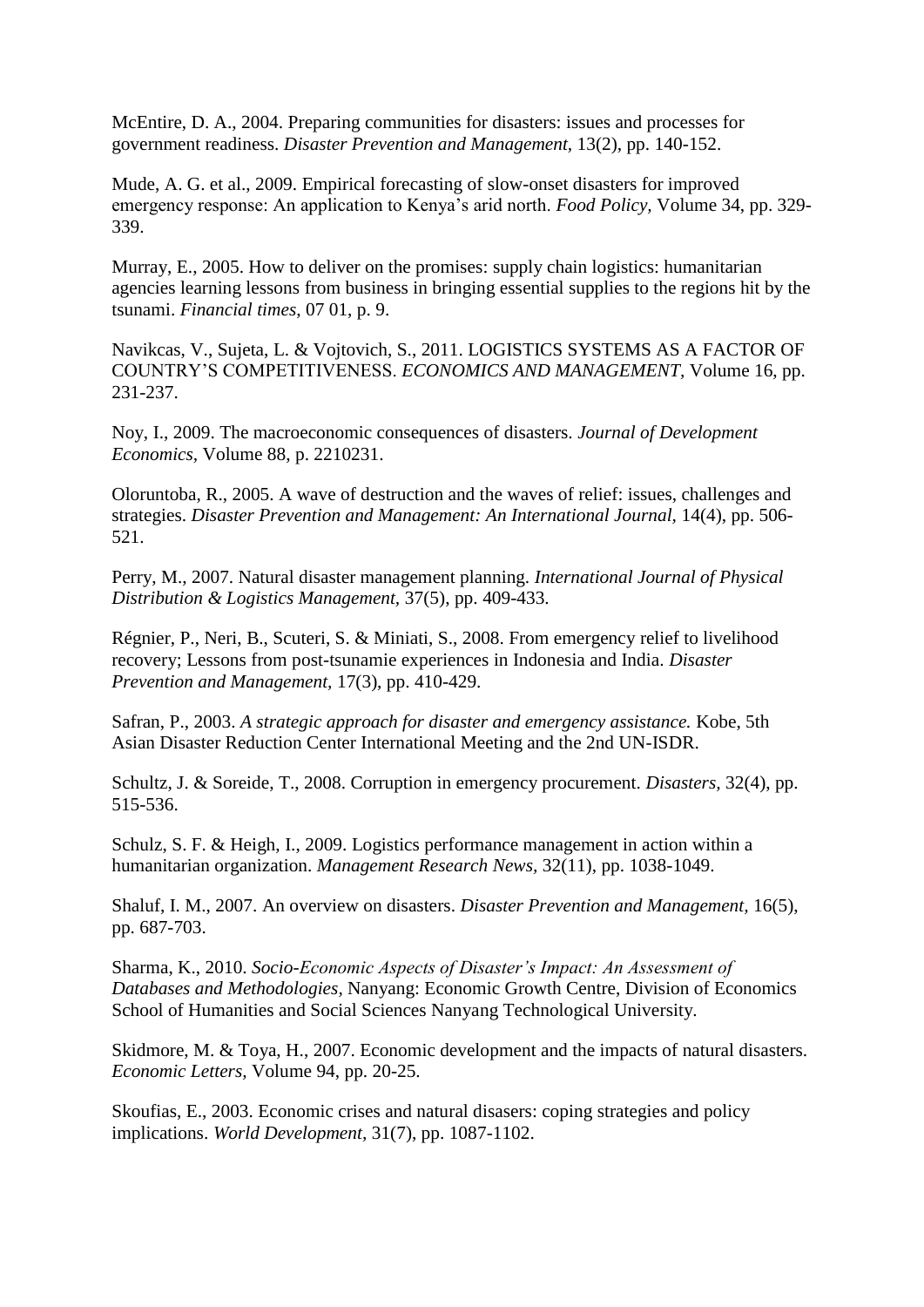McEntire, D. A., 2004. Preparing communities for disasters: issues and processes for government readiness. *Disaster Prevention and Management,* 13(2), pp. 140-152.

Mude, A. G. et al., 2009. Empirical forecasting of slow-onset disasters for improved emergency response: An application to Kenya's arid north. *Food Policy,* Volume 34, pp. 329- 339.

Murray, E., 2005. How to deliver on the promises: supply chain logistics: humanitarian agencies learning lessons from business in bringing essential supplies to the regions hit by the tsunami. *Financial times*, 07 01, p. 9.

Navikcas, V., Sujeta, L. & Vojtovich, S., 2011. LOGISTICS SYSTEMS AS A FACTOR OF COUNTRY'S COMPETITIVENESS. *ECONOMICS AND MANAGEMENT,* Volume 16, pp. 231-237.

Noy, I., 2009. The macroeconomic consequences of disasters. *Journal of Development Economics,* Volume 88, p. 2210231.

Oloruntoba, R., 2005. A wave of destruction and the waves of relief: issues, challenges and strategies. *Disaster Prevention and Management: An International Journal*, 14(4), pp. 506-521.

Perry, M., 2007. Natural disaster management planning. *International Journal of Physical Distribution & Logistics Management,* 37(5), pp. 409-433.

Régnier, P., Neri, B., Scuteri, S. & Miniati, S., 2008. From emergency relief to livelihood recovery; Lessons from post-tsunamie experiences in Indonesia and India. *Disaster Prevention and Management,* 17(3), pp. 410-429.

Safran, P., 2003. *A strategic approach for disaster and emergency assistance.* Kobe, 5th Asian Disaster Reduction Center International Meeting and the 2nd UN-ISDR.

Schultz, J. & Soreide, T., 2008. Corruption in emergency procurement. *Disasters,* 32(4), pp. 515-536.

Schulz, S. F. & Heigh, I., 2009. Logistics performance management in action within a humanitarian organization. *Management Research News,* 32(11), pp. 1038-1049.

Shaluf, I. M., 2007. An overview on disasters. *Disaster Prevention and Management,* 16(5), pp. 687-703.

Sharma, K., 2010. *Socio-Economic Aspects of Disaster's Impact: An Assessment of Databases and Methodologies,* Nanyang: Economic Growth Centre, Division of Economics School of Humanities and Social Sciences Nanyang Technological University.

Skidmore, M. & Toya, H., 2007. Economic development and the impacts of natural disasters. *Economic Letters,* Volume 94, pp. 20-25.

Skoufias, E., 2003. Economic crises and natural disasers: coping strategies and policy implications. *World Development,* 31(7), pp. 1087-1102.